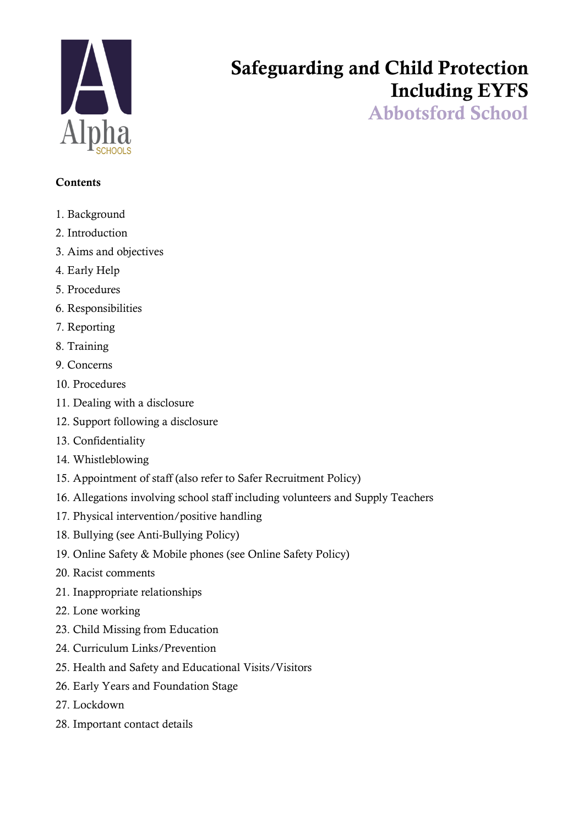

# Safeguarding and Child Protection Including EYFS

Abbotsford School

# **Contents**

- 1. Background
- 2. Introduction
- 3. Aims and objectives
- 4. Early Help
- 5. Procedures
- 6. Responsibilities
- 7. Reporting
- 8. Training
- 9. Concerns
- 10. Procedures
- 11. Dealing with a disclosure
- 12. Support following a disclosure
- 13. Confidentiality
- 14. Whistleblowing
- 15. Appointment of staff (also refer to Safer Recruitment Policy)
- 16. Allegations involving school staff including volunteers and Supply Teachers
- 17. Physical intervention/positive handling
- 18. Bullying (see Anti-Bullying Policy)
- 19. Online Safety & Mobile phones (see Online Safety Policy)
- 20. Racist comments
- 21. Inappropriate relationships
- 22. Lone working
- 23. Child Missing from Education
- 24. Curriculum Links/Prevention
- 25. Health and Safety and Educational Visits/Visitors
- 26. Early Years and Foundation Stage
- 27. Lockdown
- 28. Important contact details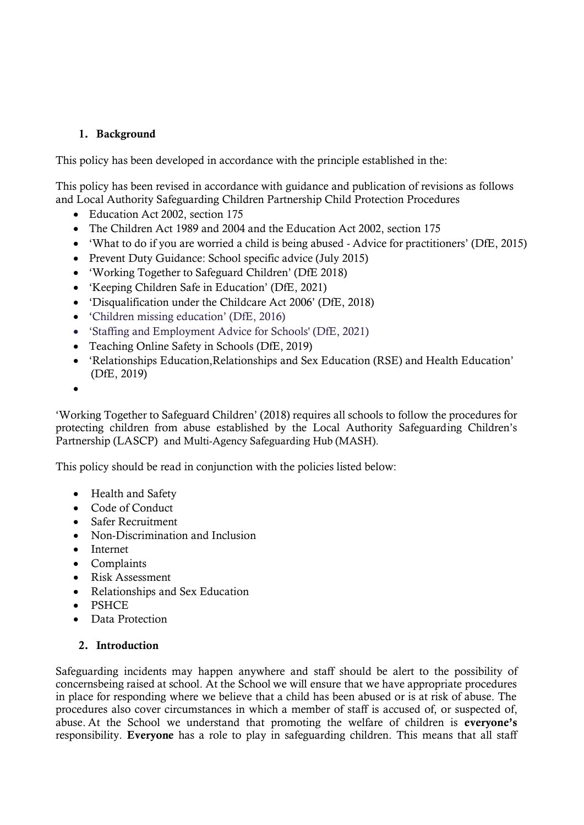# 1. Background

This policy has been developed in accordance with the principle established in the:

This policy has been revised in accordance with guidance and publication of revisions as follows and Local Authority Safeguarding Children Partnership Child Protection Procedures

- Education Act 2002, section 175
- The Children Act 1989 and 2004 and the Education Act 2002, section 175
- 'What to do if you are worried a child is being abused Advice for practitioners' (DfE, 2015)
- Prevent Duty Guidance: School specific advice (July 2015)
- 'Working Together to Safeguard Children' (DfE 2018)
- 'Keeping Children Safe in Education' (DfE, 2021)
- 'Disqualification under the Childcare Act 2006' (DfE, 2018)
- 'Children missing education' (DfE, 2016)
- 'Staffing and Employment Advice for Schools' (DfE, 2021)
- Teaching Online Safety in Schools (DfE, 2019)
- 'Relationships Education,Relationships and Sex Education (RSE) and Health Education' (DfE, 2019)
- •

'Working Together to Safeguard Children' (2018) requires all schools to follow the procedures for protecting children from abuse established by the Local Authority Safeguarding Children's Partnership (LASCP) and Multi-Agency Safeguarding Hub (MASH).

This policy should be read in conjunction with the policies listed below:

- Health and Safety
- Code of Conduct
- Safer Recruitment
- Non-Discrimination and Inclusion
- Internet
- Complaints
- Risk Assessment
- Relationships and Sex Education
- PSHCE
- Data Protection

# 2. Introduction

Safeguarding incidents may happen anywhere and staff should be alert to the possibility of concernsbeing raised at school. At the School we will ensure that we have appropriate procedures in place for responding where we believe that a child has been abused or is at risk of abuse. The procedures also cover circumstances in which a member of staff is accused of, or suspected of, abuse. At the School we understand that promoting the welfare of children is everyone's responsibility. Everyone has a role to play in safeguarding children. This means that all staff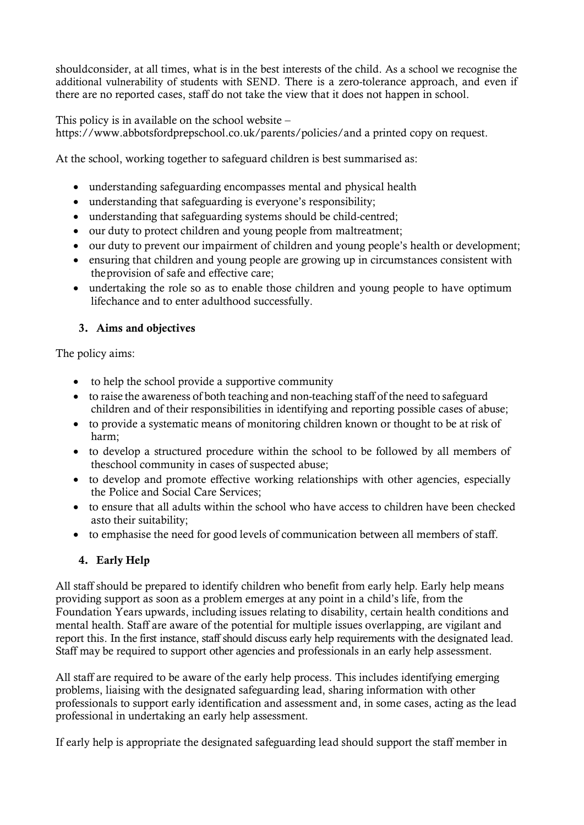shouldconsider, at all times, what is in the best interests of the child. As a school we recognise the additional vulnerability of students with SEND. There is a zero-tolerance approach, and even if there are no reported cases, staff do not take the view that it does not happen in school.

This policy is in available on the school website –

https://www.abbotsfordprepschool.co.uk/parents/policies/and a printed copy on request.

At the school, working together to safeguard children is best summarised as:

- understanding safeguarding encompasses mental and physical health
- understanding that safeguarding is everyone's responsibility;
- understanding that safeguarding systems should be child-centred;
- our duty to protect children and young people from maltreatment;
- our duty to prevent our impairment of children and young people's health or development;
- ensuring that children and young people are growing up in circumstances consistent with the provision of safe and effective care;
- undertaking the role so as to enable those children and voung people to have optimum lifechance and to enter adulthood successfully.

# 3. Aims and objectives

The policy aims:

- to help the school provide a supportive community
- to raise the awareness of both teaching and non-teaching staff of the need to safeguard children and of their responsibilities in identifying and reporting possible cases of abuse;
- to provide a systematic means of monitoring children known or thought to be at risk of harm;
- to develop a structured procedure within the school to be followed by all members of theschool community in cases of suspected abuse;
- to develop and promote effective working relationships with other agencies, especially the Police and Social Care Services;
- to ensure that all adults within the school who have access to children have been checked asto their suitability;
- to emphasise the need for good levels of communication between all members of staff.

# 4. Early Help

All staff should be prepared to identify children who benefit from early help. Early help means providing support as soon as a problem emerges at any point in a child's life, from the Foundation Years upwards, including issues relating to disability, certain health conditions and mental health. Staff are aware of the potential for multiple issues overlapping, are vigilant and report this. In the first instance, staff should discuss early help requirements with the designated lead. Staff may be required to support other agencies and professionals in an early help assessment.

All staff are required to be aware of the early help process. This includes identifying emerging problems, liaising with the designated safeguarding lead, sharing information with other professionals to support early identification and assessment and, in some cases, acting as the lead professional in undertaking an early help assessment.

If early help is appropriate the designated safeguarding lead should support the staff member in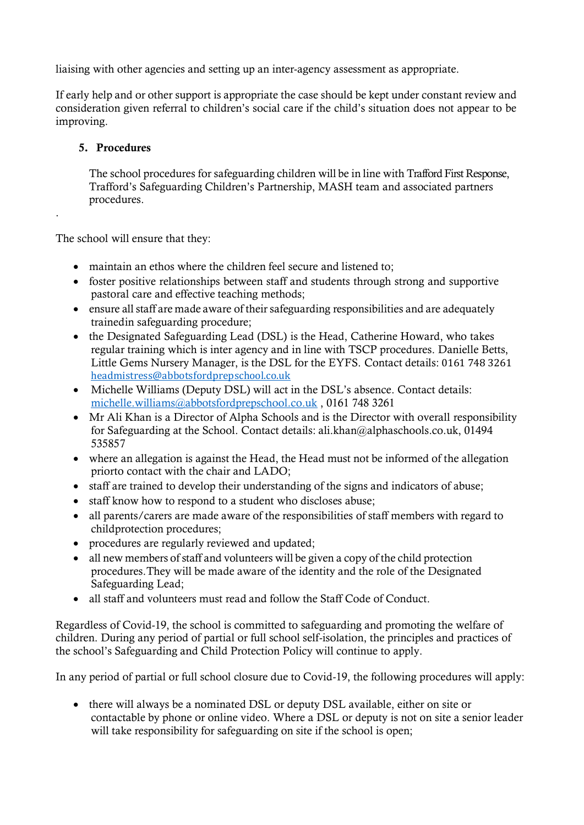liaising with other agencies and setting up an inter-agency assessment as appropriate.

If early help and or other support is appropriate the case should be kept under constant review and consideration given referral to children's social care if the child's situation does not appear to be improving.

# 5. Procedures

.

The school procedures for safeguarding children will be in line with Trafford First Response, Trafford's Safeguarding Children's Partnership, MASH team and associated partners procedures.

The school will ensure that they:

- maintain an ethos where the children feel secure and listened to:
- foster positive relationships between staff and students through strong and supportive pastoral care and effective teaching methods;
- ensure all staff are made aware of their safeguarding responsibilities and are adequately trainedin safeguarding procedure;
- the Designated Safeguarding Lead (DSL) is the Head, Catherine Howard, who takes regular training which is inter agency and in line with TSCP procedures. Danielle Betts, Little Gems Nursery Manager, is the DSL for the EYFS. Contact details: 0161 748 3261 [headmistress@abbotsfordprepschool.co.uk](mailto:headmistress@abbotsfordprepschool.co.uk)
- Michelle Williams (Deputy DSL) will act in the DSL's absence. Contact details: [michelle.williams@abbotsfordprepschool.co.uk](mailto:michelle.williams@abbotsfordprepschool.co.uk) , 0161 748 3261
- Mr Ali Khan is a Director of Alpha Schools and is the Director with overall responsibility for Safeguarding at the School. Contact details: [ali.khan@alphaschools.co.uk,](mailto:ali.khan@alphaschools.co.uk) 01494 535857
- where an allegation is against the Head, the Head must not be informed of the allegation priorto contact with the chair and LADO;
- staff are trained to develop their understanding of the signs and indicators of abuse;
- staff know how to respond to a student who discloses abuse;
- all parents/carers are made aware of the responsibilities of staff members with regard to childprotection procedures;
- procedures are regularly reviewed and updated;
- all new members of staff and volunteers will be given a copy of the child protection procedures.They will be made aware of the identity and the role of the Designated Safeguarding Lead;
- all staff and volunteers must read and follow the Staff Code of Conduct.

Regardless of Covid-19, the school is committed to safeguarding and promoting the welfare of children. During any period of partial or full school self-isolation, the principles and practices of the school's Safeguarding and Child Protection Policy will continue to apply.

In any period of partial or full school closure due to Covid-19, the following procedures will apply:

• there will always be a nominated DSL or deputy DSL available, either on site or contactable by phone or online video. Where a DSL or deputy is not on site a senior leader will take responsibility for safeguarding on site if the school is open;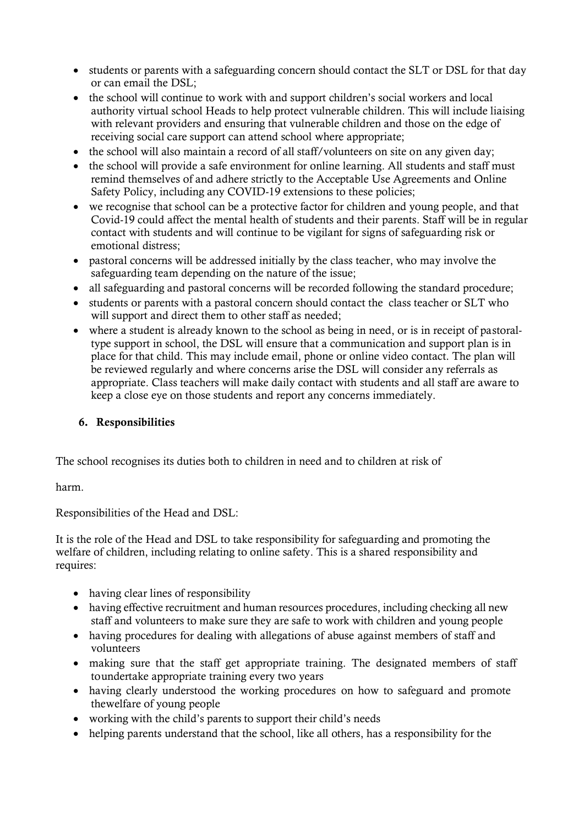- students or parents with a safeguarding concern should contact the SLT or DSL for that day or can email the DSL;
- the school will continue to work with and support children's social workers and local authority virtual school Heads to help protect vulnerable children. This will include liaising with relevant providers and ensuring that vulnerable children and those on the edge of receiving social care support can attend school where appropriate;
- the school will also maintain a record of all staff/volunteers on site on any given day;
- the school will provide a safe environment for online learning. All students and staff must remind themselves of and adhere strictly to the Acceptable Use Agreements and Online Safety Policy, including any COVID-19 extensions to these policies;
- we recognise that school can be a protective factor for children and young people, and that Covid-19 could affect the mental health of students and their parents. Staff will be in regular contact with students and will continue to be vigilant for signs of safeguarding risk or emotional distress;
- pastoral concerns will be addressed initially by the class teacher, who may involve the safeguarding team depending on the nature of the issue;
- all safeguarding and pastoral concerns will be recorded following the standard procedure;
- students or parents with a pastoral concern should contact the class teacher or SLT who will support and direct them to other staff as needed;
- where a student is already known to the school as being in need, or is in receipt of pastoraltype support in school, the DSL will ensure that a communication and support plan is in place for that child. This may include email, phone or online video contact. The plan will be reviewed regularly and where concerns arise the DSL will consider any referrals as appropriate. Class teachers will make daily contact with students and all staff are aware to keep a close eye on those students and report any concerns immediately.

# 6. Responsibilities

The school recognises its duties both to children in need and to children at risk of

harm.

Responsibilities of the Head and DSL:

It is the role of the Head and DSL to take responsibility for safeguarding and promoting the welfare of children, including relating to online safety. This is a shared responsibility and requires:

- having clear lines of responsibility
- having effective recruitment and human resources procedures, including checking all new staff and volunteers to make sure they are safe to work with children and young people
- having procedures for dealing with allegations of abuse against members of staff and volunteers
- making sure that the staff get appropriate training. The designated members of staff to undertake appropriate training every two years
- having clearly understood the working procedures on how to safeguard and promote thewelfare of young people
- working with the child's parents to support their child's needs
- helping parents understand that the school, like all others, has a responsibility for the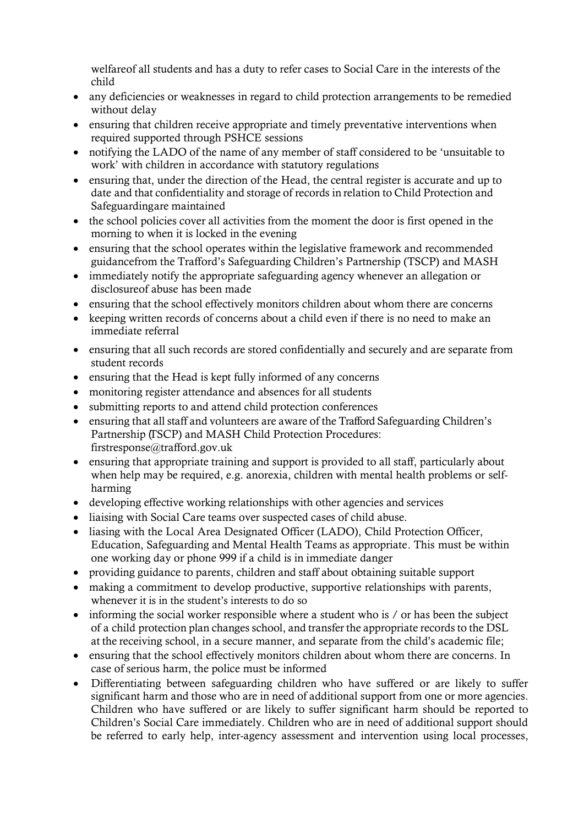welfareof all students and has a duty to refer cases to Social Care in the interests of the child

- any deficiencies or weaknesses in regard to child protection arrangements to be remedied without delay
- ensuring that children receive appropriate and timely preventative interventions when required supported through PSHCE sessions
- notifying the LADO of the name of any member of staff considered to be 'unsuitable to work' with children in accordance with statutory regulations
- ensuring that, under the direction of the Head, the central register is accurate and up to date and that confidentiality and storage of records in relation to Child Protection and Safeguardingare maintained
- the school policies cover all activities from the moment the door is first opened in the morning to when it is locked in the evening
- ensuring that the school operates within the legislative framework and recommended guidancefrom the Trafford's Safeguarding Children's Partnership (TSCP) and MASH
- immediately notify the appropriate safeguarding agency whenever an allegation or disclosureof abuse has been made
- ensuring that the school effectively monitors children about whom there are concerns
- keeping written records of concerns about a child even if there is no need to make an immediate referral
- ensuring that all such records are stored confidentially and securely and are separate from student records
- ensuring that the Head is kept fully informed of any concerns
- monitoring register attendance and absences for all students
- submitting reports to and attend child protection conferences
- ensuring that all staff and volunteers are aware of the Trafford Safeguarding Children's Partnership (TSCP) and MASH Child Protection Procedures: firstresponse@trafford.gov.uk
- ensuring that appropriate training and support is provided to all staff, particularly about when help may be required, e.g. anorexia, children with mental health problems or selfharming
- developing effective working relationships with other agencies and services
- liaising with Social Care teams over suspected cases of child abuse.
- liasing with the Local Area Designated Officer (LADO), Child Protection Officer, Education, Safeguarding and Mental Health Teams as appropriate. This must be within one working day or phone 999 if a child is in immediate danger
- providing guidance to parents, children and staff about obtaining suitable support
- making a commitment to develop productive, supportive relationships with parents, whenever it is in the student's interests to do so
- informing the social worker responsible where a student who is / or has been the subject of a child protection plan changes school, and transfer the appropriate records to the DSL at the receiving school, in a secure manner, and separate from the child's academic file;
- ensuring that the school effectively monitors children about whom there are concerns. In case of serious harm, the police must be informed
- Differentiating between safeguarding children who have suffered or are likely to suffer significant harm and those who are in need of additional support from one or more agencies. Children who have suffered or are likely to suffer significant harm should be reported to Children's Social Care immediately. Children who are in need of additional support should be referred to early help, inter-agency assessment and intervention using local processes,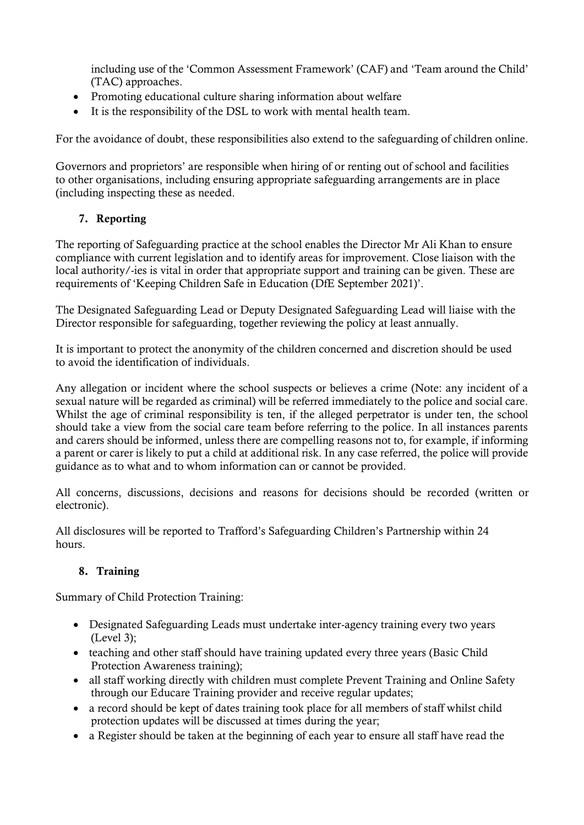including use of the 'Common Assessment Framework' (CAF) and 'Team around the Child' (TAC) approaches.

- Promoting educational culture sharing information about welfare
- It is the responsibility of the DSL to work with mental health team.

For the avoidance of doubt, these responsibilities also extend to the safeguarding of children online.

Governors and proprietors' are responsible when hiring of or renting out of school and facilities to other organisations, including ensuring appropriate safeguarding arrangements are in place (including inspecting these as needed.

# 7. Reporting

The reporting of Safeguarding practice at the school enables the Director Mr Ali Khan to ensure compliance with current legislation and to identify areas for improvement. Close liaison with the local authority/-ies is vital in order that appropriate support and training can be given. These are requirements of 'Keeping Children Safe in Education (DfE September 2021)'.

The Designated Safeguarding Lead or Deputy Designated Safeguarding Lead will liaise with the Director responsible for safeguarding, together reviewing the policy at least annually.

It is important to protect the anonymity of the children concerned and discretion should be used to avoid the identification of individuals.

Any allegation or incident where the school suspects or believes a crime (Note: any incident of a sexual nature will be regarded as criminal) will be referred immediately to the police and social care. Whilst the age of criminal responsibility is ten, if the alleged perpetrator is under ten, the school should take a view from the social care team before referring to the police. In all instances parents and carers should be informed, unless there are compelling reasons not to, for example, if informing a parent or carer is likely to put a child at additional risk. In any case referred, the police will provide guidance as to what and to whom information can or cannot be provided.

All concerns, discussions, decisions and reasons for decisions should be recorded (written or electronic).

All disclosures will be reported to Trafford's Safeguarding Children's Partnership within 24 hours.

# 8. Training

Summary of Child Protection Training:

- Designated Safeguarding Leads must undertake inter-agency training every two years (Level 3);
- teaching and other staff should have training updated every three years (Basic Child Protection Awareness training);
- all staff working directly with children must complete Prevent Training and Online Safety through our Educare Training provider and receive regular updates;
- a record should be kept of dates training took place for all members of staff whilst child protection updates will be discussed at times during the year;
- a Register should be taken at the beginning of each year to ensure all staff have read the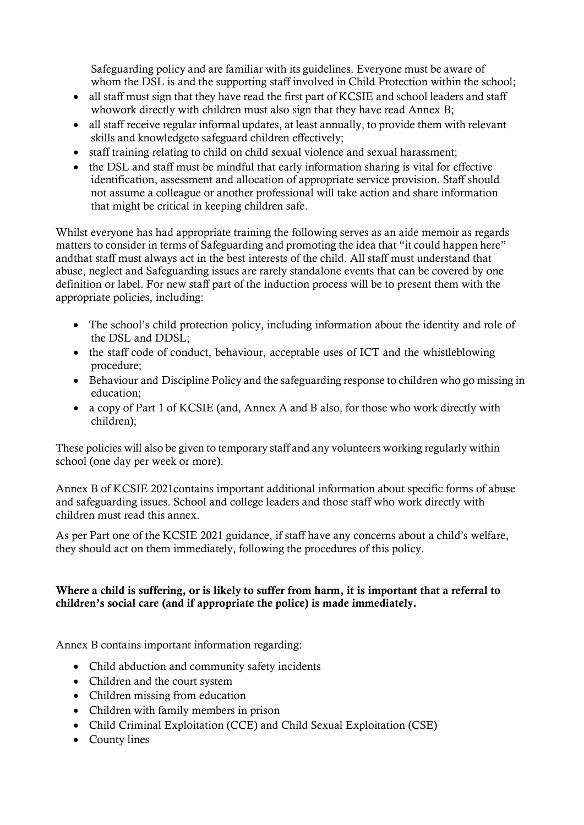Safeguarding policy and are familiar with its guidelines. Everyone must be aware of whom the DSL is and the supporting staff involved in Child Protection within the school;

- all staff must sign that they have read the first part of KCSIE and school leaders and staff whowork directly with children must also sign that they have read Annex B;
- all staff receive regular informal updates, at least annually, to provide them with relevant skills and knowledgeto safeguard children effectively;
- staff training relating to child on child sexual violence and sexual harassment;
- the DSL and staff must be mindful that early information sharing is vital for effective identification, assessment and allocation of appropriate service provision. Staff should not assume a colleague or another professional will take action and share information that might be critical in keeping children safe.

Whilst everyone has had appropriate training the following serves as an aide memoir as regards matters to consider in terms of Safeguarding and promoting the idea that "it could happen here" andthat staff must always act in the best interests of the child. All staff must understand that abuse, neglect and Safeguarding issues are rarely standalone events that can be covered by one definition or label. For new staff part of the induction process will be to present them with the appropriate policies, including:

- The school's child protection policy, including information about the identity and role of the DSL and DDSL;
- the staff code of conduct, behaviour, acceptable uses of ICT and the whistleblowing procedure;
- Behaviour and Discipline Policy and the safeguarding response to children who go missing in education;
- a copy of Part 1 of KCSIE (and, Annex A and B also, for those who work directly with children);

These policies will also be given to temporary staff and any volunteers working regularly within school (one day per week or more).

Annex B of KCSIE 2021contains important additional information about specific forms of abuse and safeguarding issues. School and college leaders and those staff who work directly with children must read this annex.

As per Part one of the KCSIE 2021 guidance, if staff have any concerns about a child's welfare, they should act on them immediately, following the procedures of this policy.

# Where a child is suffering, or is likely to suffer from harm, it is important that a referral to children's social care (and if appropriate the police) is made immediately.

Annex B contains important information regarding:

- Child abduction and community safety incidents
- Children and the court system
- Children missing from education
- Children with family members in prison
- Child Criminal Exploitation (CCE) and Child Sexual Exploitation (CSE)
- County lines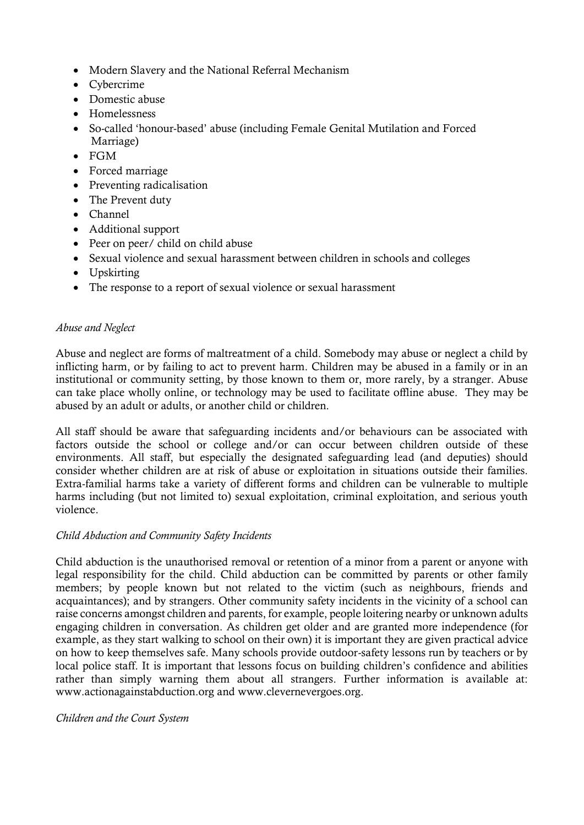- Modern Slavery and the National Referral Mechanism
- Cybercrime
- Domestic abuse
- Homelessness
- So-called 'honour-based' abuse (including Female Genital Mutilation and Forced Marriage)
- FGM
- Forced marriage
- Preventing radicalisation
- The Prevent duty
- Channel
- Additional support
- Peer on peer/ child on child abuse
- Sexual violence and sexual harassment between children in schools and colleges
- Upskirting
- The response to a report of sexual violence or sexual harassment

# *Abuse and Neglect*

Abuse and neglect are forms of maltreatment of a child. Somebody may abuse or neglect a child by inflicting harm, or by failing to act to prevent harm. Children may be abused in a family or in an institutional or community setting, by those known to them or, more rarely, by a stranger. Abuse can take place wholly online, or technology may be used to facilitate offline abuse. They may be abused by an adult or adults, or another child or children.

All staff should be aware that safeguarding incidents and/or behaviours can be associated with factors outside the school or college and/or can occur between children outside of these environments. All staff, but especially the designated safeguarding lead (and deputies) should consider whether children are at risk of abuse or exploitation in situations outside their families. Extra-familial harms take a variety of different forms and children can be vulnerable to multiple harms including (but not limited to) sexual exploitation, criminal exploitation, and serious youth violence.

# *Child Abduction and Community Safety Incidents*

Child abduction is the unauthorised removal or retention of a minor from a parent or anyone with legal responsibility for the child. Child abduction can be committed by parents or other family members; by people known but not related to the victim (such as neighbours, friends and acquaintances); and by strangers. Other community safety incidents in the vicinity of a school can raise concerns amongst children and parents, for example, people loitering nearby or unknown adults engaging children in conversation. As children get older and are granted more independence (for example, as they start walking to school on their own) it is important they are given practical advice on how to keep themselves safe. Many schools provide outdoor-safety lessons run by teachers or by local police staff. It is important that lessons focus on building children's confidence and abilities rather than simply warning them about all strangers. Further information is available at: www.actionagainstabduction.org and www.clevernevergoes.org.

## *Children and the Court System*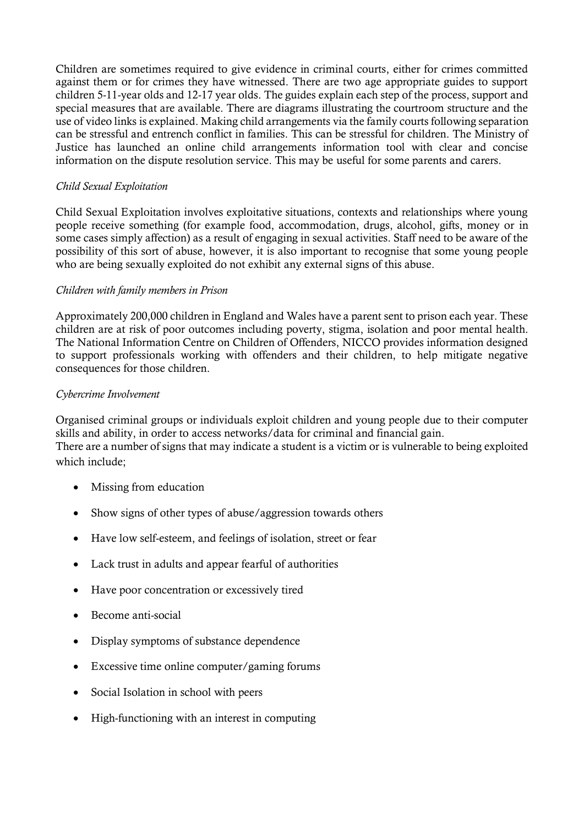Children are sometimes required to give evidence in criminal courts, either for crimes committed against them or for crimes they have witnessed. There are two age appropriate guides to support children 5-11-year olds and 12-17 year olds. The guides explain each step of the process, support and special measures that are available. There are diagrams illustrating the courtroom structure and the use of video links is explained. Making child arrangements via the family courts following separation can be stressful and entrench conflict in families. This can be stressful for children. The Ministry of Justice has launched an online child arrangements information tool with clear and concise information on the dispute resolution service. This may be useful for some parents and carers.

## *Child Sexual Exploitation*

Child Sexual Exploitation involves exploitative situations, contexts and relationships where young people receive something (for example food, accommodation, drugs, alcohol, gifts, money or in some cases simply affection) as a result of engaging in sexual activities. Staff need to be aware of the possibility of this sort of abuse, however, it is also important to recognise that some young people who are being sexually exploited do not exhibit any external signs of this abuse.

## *Children with family members in Prison*

Approximately 200,000 children in England and Wales have a parent sent to prison each year. These children are at risk of poor outcomes including poverty, stigma, isolation and poor mental health. The National Information Centre on Children of Offenders, NICCO provides information designed to support professionals working with offenders and their children, to help mitigate negative consequences for those children.

## *Cybercrime Involvement*

Organised criminal groups or individuals exploit children and young people due to their computer skills and ability, in order to access networks/data for criminal and financial gain. There are a number of signs that may indicate a student is a victim or is vulnerable to being exploited which include;

- Missing from education
- Show signs of other types of abuse/aggression towards others
- Have low self-esteem, and feelings of isolation, street or fear
- Lack trust in adults and appear fearful of authorities
- Have poor concentration or excessively tired
- Become anti-social
- Display symptoms of substance dependence
- Excessive time online computer/gaming forums
- Social Isolation in school with peers
- High-functioning with an interest in computing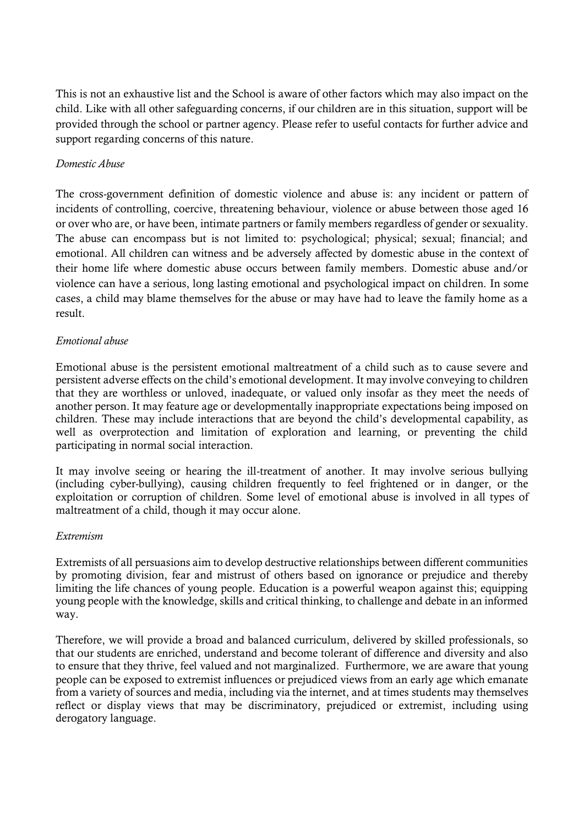This is not an exhaustive list and the School is aware of other factors which may also impact on the child. Like with all other safeguarding concerns, if our children are in this situation, support will be provided through the school or partner agency. Please refer to useful contacts for further advice and support regarding concerns of this nature.

## *Domestic Abuse*

The cross-government definition of domestic violence and abuse is: any incident or pattern of incidents of controlling, coercive, threatening behaviour, violence or abuse between those aged 16 or over who are, or have been, intimate partners or family members regardless of gender or sexuality. The abuse can encompass but is not limited to: psychological; physical; sexual; financial; and emotional. All children can witness and be adversely affected by domestic abuse in the context of their home life where domestic abuse occurs between family members. Domestic abuse and/or violence can have a serious, long lasting emotional and psychological impact on children. In some cases, a child may blame themselves for the abuse or may have had to leave the family home as a result.

## *Emotional abuse*

Emotional abuse is the persistent emotional maltreatment of a child such as to cause severe and persistent adverse effects on the child's emotional development. It may involve conveying to children that they are worthless or unloved, inadequate, or valued only insofar as they meet the needs of another person. It may feature age or developmentally inappropriate expectations being imposed on children. These may include interactions that are beyond the child's developmental capability, as well as overprotection and limitation of exploration and learning, or preventing the child participating in normal social interaction.

It may involve seeing or hearing the ill-treatment of another. It may involve serious bullying (including cyber-bullying), causing children frequently to feel frightened or in danger, or the exploitation or corruption of children. Some level of emotional abuse is involved in all types of maltreatment of a child, though it may occur alone.

## *Extremism*

Extremists of all persuasions aim to develop destructive relationships between different communities by promoting division, fear and mistrust of others based on ignorance or prejudice and thereby limiting the life chances of young people. Education is a powerful weapon against this; equipping young people with the knowledge, skills and critical thinking, to challenge and debate in an informed way.

Therefore, we will provide a broad and balanced curriculum, delivered by skilled professionals, so that our students are enriched, understand and become tolerant of difference and diversity and also to ensure that they thrive, feel valued and not marginalized. Furthermore, we are aware that young people can be exposed to extremist influences or prejudiced views from an early age which emanate from a variety of sources and media, including via the internet, and at times students may themselves reflect or display views that may be discriminatory, prejudiced or extremist, including using derogatory language.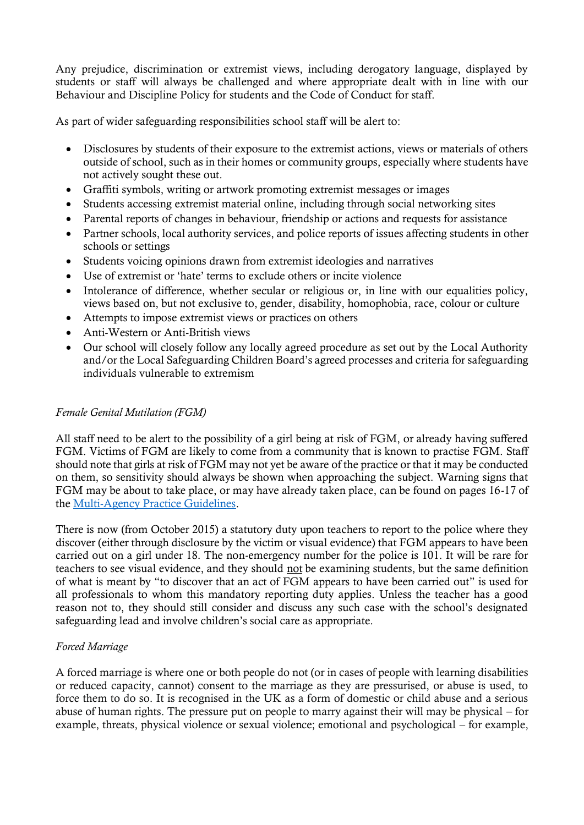Any prejudice, discrimination or extremist views, including derogatory language, displayed by students or staff will always be challenged and where appropriate dealt with in line with our Behaviour and Discipline Policy for students and the Code of Conduct for staff.

As part of wider safeguarding responsibilities school staff will be alert to:

- Disclosures by students of their exposure to the extremist actions, views or materials of others outside of school, such as in their homes or community groups, especially where students have not actively sought these out.
- Graffiti symbols, writing or artwork promoting extremist messages or images
- Students accessing extremist material online, including through social networking sites
- Parental reports of changes in behaviour, friendship or actions and requests for assistance
- Partner schools, local authority services, and police reports of issues affecting students in other schools or settings
- Students voicing opinions drawn from extremist ideologies and narratives
- Use of extremist or 'hate' terms to exclude others or incite violence
- Intolerance of difference, whether secular or religious or, in line with our equalities policy, views based on, but not exclusive to, gender, disability, homophobia, race, colour or culture
- Attempts to impose extremist views or practices on others
- Anti-Western or Anti-British views
- Our school will closely follow any locally agreed procedure as set out by the Local Authority and/or the Local Safeguarding Children Board's agreed processes and criteria for safeguarding individuals vulnerable to extremism

## *Female Genital Mutilation (FGM)*

All staff need to be alert to the possibility of a girl being at risk of FGM, or already having suffered FGM. Victims of FGM are likely to come from a community that is known to practise FGM. Staff should note that girls at risk of FGM may not yet be aware of the practice or that it may be conducted on them, so sensitivity should always be shown when approaching the subject. Warning signs that FGM may be about to take place, or may have already taken place, can be found on pages 16-17 of the [Multi-Agency Practice Guidelines.](https://www.gov.uk/government/publications/female-genital-mutilation-guidelines)

There is now (from October 2015) a statutory duty upon teachers to report to the police where they discover (either through disclosure by the victim or visual evidence) that FGM appears to have been carried out on a girl under 18. The non-emergency number for the police is 101. It will be rare for teachers to see visual evidence, and they should not be examining students, but the same definition of what is meant by "to discover that an act of FGM appears to have been carried out" is used for all professionals to whom this mandatory reporting duty applies. Unless the teacher has a good reason not to, they should still consider and discuss any such case with the school's designated safeguarding lead and involve children's social care as appropriate.

## *Forced Marriage*

A forced marriage is where one or both people do not (or in cases of people with learning disabilities or reduced capacity, cannot) consent to the marriage as they are pressurised, or abuse is used, to force them to do so. It is recognised in the UK as a form of domestic or child abuse and a serious abuse of human rights. The pressure put on people to marry against their will may be physical – for example, threats, physical violence or sexual violence; emotional and psychological – for example,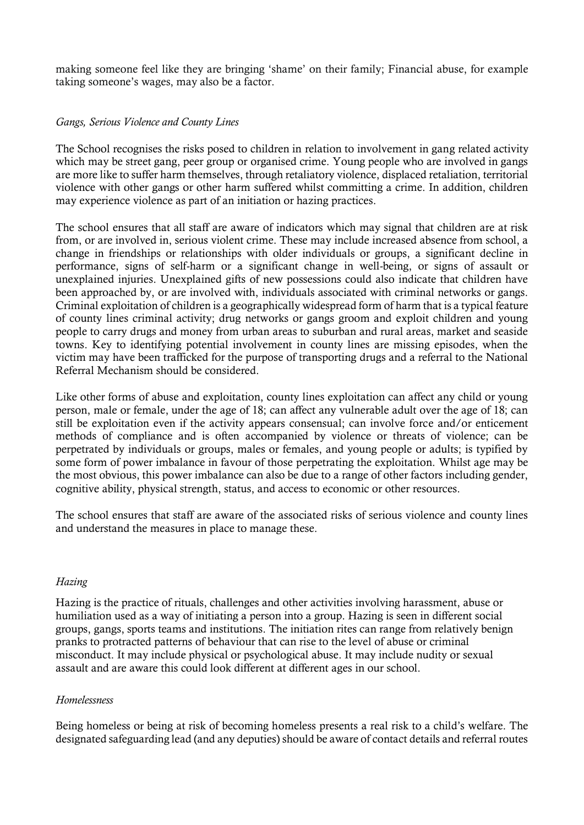making someone feel like they are bringing 'shame' on their family; Financial abuse, for example taking someone's wages, may also be a factor.

## *Gangs, Serious Violence and County Lines*

The School recognises the risks posed to children in relation to involvement in gang related activity which may be street gang, peer group or organised crime. Young people who are involved in gangs are more like to suffer harm themselves, through retaliatory violence, displaced retaliation, territorial violence with other gangs or other harm suffered whilst committing a crime. In addition, children may experience violence as part of an initiation or hazing practices.

The school ensures that all staff are aware of indicators which may signal that children are at risk from, or are involved in, serious violent crime. These may include increased absence from school, a change in friendships or relationships with older individuals or groups, a significant decline in performance, signs of self-harm or a significant change in well-being, or signs of assault or unexplained injuries. Unexplained gifts of new possessions could also indicate that children have been approached by, or are involved with, individuals associated with criminal networks or gangs. Criminal exploitation of children is a geographically widespread form of harm that is a typical feature of county lines criminal activity; drug networks or gangs groom and exploit children and young people to carry drugs and money from urban areas to suburban and rural areas, market and seaside towns. Key to identifying potential involvement in county lines are missing episodes, when the victim may have been trafficked for the purpose of transporting drugs and a referral to the National Referral Mechanism should be considered.

Like other forms of abuse and exploitation, county lines exploitation can affect any child or young person, male or female, under the age of 18; can affect any vulnerable adult over the age of 18; can still be exploitation even if the activity appears consensual; can involve force and/or enticement methods of compliance and is often accompanied by violence or threats of violence; can be perpetrated by individuals or groups, males or females, and young people or adults; is typified by some form of power imbalance in favour of those perpetrating the exploitation. Whilst age may be the most obvious, this power imbalance can also be due to a range of other factors including gender, cognitive ability, physical strength, status, and access to economic or other resources.

The school ensures that staff are aware of the associated risks of serious violence and county lines and understand the measures in place to manage these.

#### *Hazing*

Hazing is the practice of rituals, challenges and other activities involving harassment, abuse or humiliation used as a way of initiating a person into a group. Hazing is seen in different social groups, gangs, sports teams and institutions. The initiation rites can range from relatively benign pranks to protracted patterns of behaviour that can rise to the level of abuse or criminal misconduct. It may include physical or psychological abuse. It may include nudity or sexual assault and are aware this could look different at different ages in our school.

#### *Homelessness*

Being homeless or being at risk of becoming homeless presents a real risk to a child's welfare. The designated safeguarding lead (and any deputies) should be aware of contact details and referral routes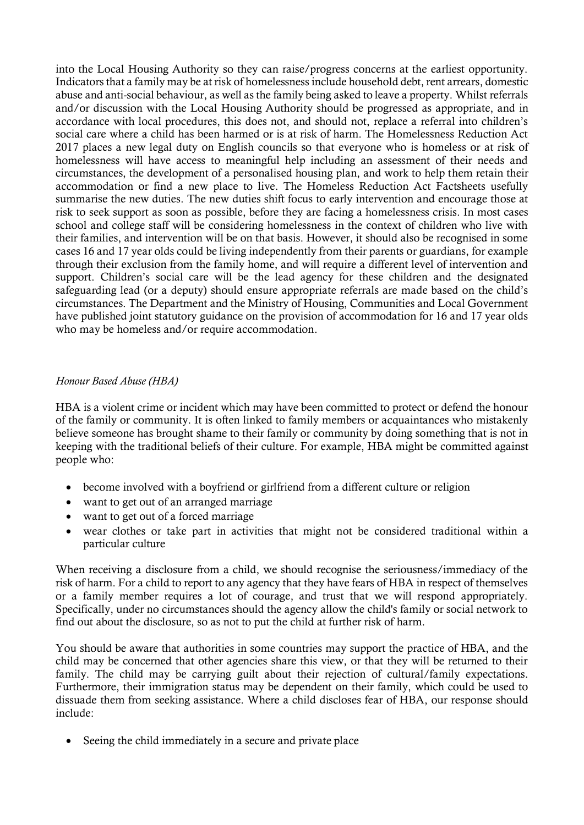into the Local Housing Authority so they can raise/progress concerns at the earliest opportunity. Indicators that a family may be at risk of homelessness include household debt, rent arrears, domestic abuse and anti-social behaviour, as well as the family being asked to leave a property. Whilst referrals and/or discussion with the Local Housing Authority should be progressed as appropriate, and in accordance with local procedures, this does not, and should not, replace a referral into children's social care where a child has been harmed or is at risk of harm. The Homelessness Reduction Act 2017 places a new legal duty on English councils so that everyone who is homeless or at risk of homelessness will have access to meaningful help including an assessment of their needs and circumstances, the development of a personalised housing plan, and work to help them retain their accommodation or find a new place to live. The Homeless Reduction Act Factsheets usefully summarise the new duties. The new duties shift focus to early intervention and encourage those at risk to seek support as soon as possible, before they are facing a homelessness crisis. In most cases school and college staff will be considering homelessness in the context of children who live with their families, and intervention will be on that basis. However, it should also be recognised in some cases 16 and 17 year olds could be living independently from their parents or guardians, for example through their exclusion from the family home, and will require a different level of intervention and support. Children's social care will be the lead agency for these children and the designated safeguarding lead (or a deputy) should ensure appropriate referrals are made based on the child's circumstances. The Department and the Ministry of Housing, Communities and Local Government have published joint statutory guidance on the provision of accommodation for 16 and 17 year olds who may be homeless and/or require accommodation.

## *Honour Based Abuse (HBA)*

HBA is a violent crime or incident which may have been committed to protect or defend the honour of the family or community. It is often linked to family members or acquaintances who mistakenly believe someone has brought shame to their family or community by doing something that is not in keeping with the traditional beliefs of their culture. For example, HBA might be committed against people who:

- become involved with a boyfriend or girlfriend from a different culture or religion
- want to get out of an arranged marriage
- want to get out of a forced marriage
- wear clothes or take part in activities that might not be considered traditional within a particular culture

When receiving a disclosure from a child, we should recognise the seriousness/immediacy of the risk of harm. For a child to report to any agency that they have fears of HBA in respect of themselves or a family member requires a lot of courage, and trust that we will respond appropriately. Specifically, under no circumstances should the agency allow the child's family or social network to find out about the disclosure, so as not to put the child at further risk of harm.

You should be aware that authorities in some countries may support the practice of HBA, and the child may be concerned that other agencies share this view, or that they will be returned to their family. The child may be carrying guilt about their rejection of cultural/family expectations. Furthermore, their immigration status may be dependent on their family, which could be used to dissuade them from seeking assistance. Where a child discloses fear of HBA, our response should include:

• Seeing the child immediately in a secure and private place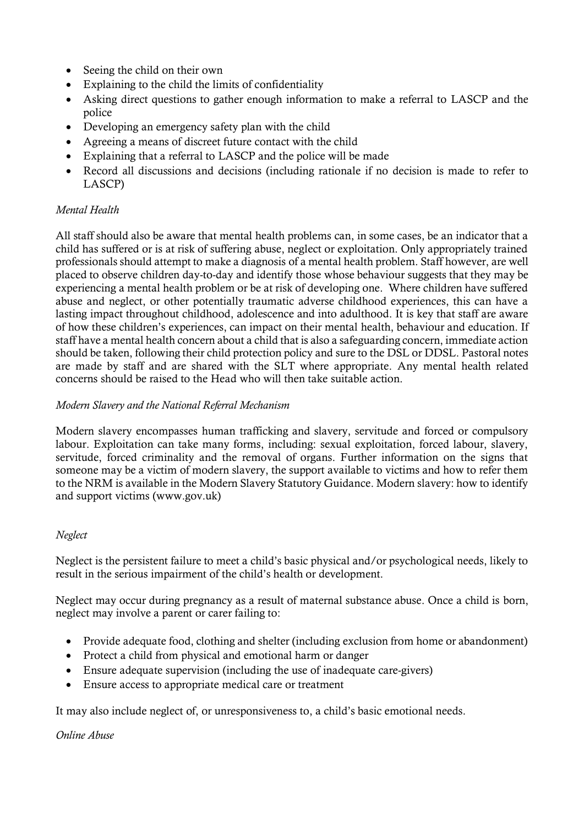- Seeing the child on their own
- Explaining to the child the limits of confidentiality
- Asking direct questions to gather enough information to make a referral to LASCP and the police
- Developing an emergency safety plan with the child
- Agreeing a means of discreet future contact with the child
- Explaining that a referral to LASCP and the police will be made
- Record all discussions and decisions (including rationale if no decision is made to refer to LASCP)

# *Mental Health*

All staff should also be aware that mental health problems can, in some cases, be an indicator that a child has suffered or is at risk of suffering abuse, neglect or exploitation. Only appropriately trained professionals should attempt to make a diagnosis of a mental health problem. Staff however, are well placed to observe children day-to-day and identify those whose behaviour suggests that they may be experiencing a mental health problem or be at risk of developing one. Where children have suffered abuse and neglect, or other potentially traumatic adverse childhood experiences, this can have a lasting impact throughout childhood, adolescence and into adulthood. It is key that staff are aware of how these children's experiences, can impact on their mental health, behaviour and education. If staff have a mental health concern about a child that is also a safeguarding concern, immediate action should be taken, following their child protection policy and sure to the DSL or DDSL. Pastoral notes are made by staff and are shared with the SLT where appropriate. Any mental health related concerns should be raised to the Head who will then take suitable action.

## *Modern Slavery and the National Referral Mechanism*

Modern slavery encompasses human trafficking and slavery, servitude and forced or compulsory labour. Exploitation can take many forms, including: sexual exploitation, forced labour, slavery, servitude, forced criminality and the removal of organs. Further information on the signs that someone may be a victim of modern slavery, the support available to victims and how to refer them to the NRM is available in the Modern Slavery Statutory Guidance. Modern slavery: how to identify and support victims (www.gov.uk)

## *Neglect*

Neglect is the persistent failure to meet a child's basic physical and/or psychological needs, likely to result in the serious impairment of the child's health or development.

Neglect may occur during pregnancy as a result of maternal substance abuse. Once a child is born, neglect may involve a parent or carer failing to:

- Provide adequate food, clothing and shelter (including exclusion from home or abandonment)
- Protect a child from physical and emotional harm or danger
- Ensure adequate supervision (including the use of inadequate care-givers)
- Ensure access to appropriate medical care or treatment

It may also include neglect of, or unresponsiveness to, a child's basic emotional needs.

## *Online Abuse*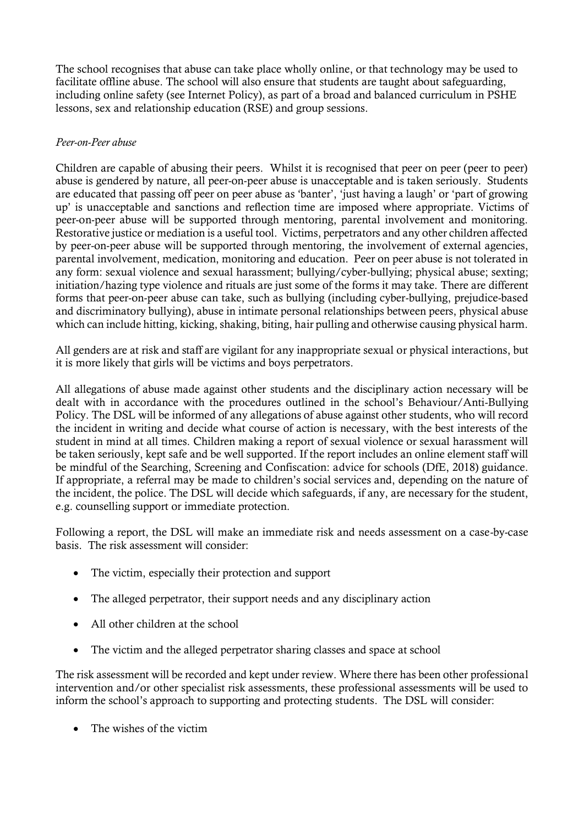The school recognises that abuse can take place wholly online, or that technology may be used to facilitate offline abuse. The school will also ensure that students are taught about safeguarding, including online safety (see Internet Policy), as part of a broad and balanced curriculum in PSHE lessons, sex and relationship education (RSE) and group sessions.

## *Peer-on-Peer abuse*

Children are capable of abusing their peers. Whilst it is recognised that peer on peer (peer to peer) abuse is gendered by nature, all peer-on-peer abuse is unacceptable and is taken seriously. Students are educated that passing off peer on peer abuse as 'banter', 'just having a laugh' or 'part of growing up' is unacceptable and sanctions and reflection time are imposed where appropriate. Victims of peer-on-peer abuse will be supported through mentoring, parental involvement and monitoring. Restorative justice or mediation is a useful tool. Victims, perpetrators and any other children affected by peer-on-peer abuse will be supported through mentoring, the involvement of external agencies, parental involvement, medication, monitoring and education. Peer on peer abuse is not tolerated in any form: sexual violence and sexual harassment; bullying/cyber-bullying; physical abuse; sexting; initiation/hazing type violence and rituals are just some of the forms it may take. There are different forms that peer-on-peer abuse can take, such as bullying (including cyber-bullying, prejudice-based and discriminatory bullying), abuse in intimate personal relationships between peers, physical abuse which can include hitting, kicking, shaking, biting, hair pulling and otherwise causing physical harm.

All genders are at risk and staff are vigilant for any inappropriate sexual or physical interactions, but it is more likely that girls will be victims and boys perpetrators.

All allegations of abuse made against other students and the disciplinary action necessary will be dealt with in accordance with the procedures outlined in the school's Behaviour/Anti-Bullying Policy. The DSL will be informed of any allegations of abuse against other students, who will record the incident in writing and decide what course of action is necessary, with the best interests of the student in mind at all times. Children making a report of sexual violence or sexual harassment will be taken seriously, kept safe and be well supported. If the report includes an online element staff will be mindful of the Searching, Screening and Confiscation: advice for schools (DfE, 2018) guidance. If appropriate, a referral may be made to children's social services and, depending on the nature of the incident, the police. The DSL will decide which safeguards, if any, are necessary for the student, e.g. counselling support or immediate protection.

Following a report, the DSL will make an immediate risk and needs assessment on a case-by-case basis. The risk assessment will consider:

- The victim, especially their protection and support
- The alleged perpetrator, their support needs and any disciplinary action
- All other children at the school
- The victim and the alleged perpetrator sharing classes and space at school

The risk assessment will be recorded and kept under review. Where there has been other professional intervention and/or other specialist risk assessments, these professional assessments will be used to inform the school's approach to supporting and protecting students. The DSL will consider:

The wishes of the victim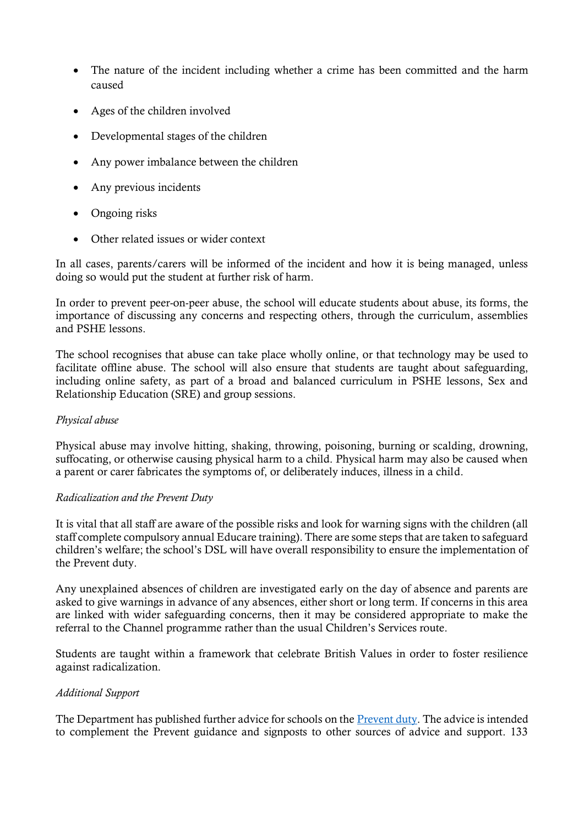- The nature of the incident including whether a crime has been committed and the harm caused
- Ages of the children involved
- Developmental stages of the children
- Any power imbalance between the children
- Any previous incidents
- Ongoing risks
- Other related issues or wider context

In all cases, parents/carers will be informed of the incident and how it is being managed, unless doing so would put the student at further risk of harm.

In order to prevent peer-on-peer abuse, the school will educate students about abuse, its forms, the importance of discussing any concerns and respecting others, through the curriculum, assemblies and PSHE lessons.

The school recognises that abuse can take place wholly online, or that technology may be used to facilitate offline abuse. The school will also ensure that students are taught about safeguarding, including online safety, as part of a broad and balanced curriculum in PSHE lessons, Sex and Relationship Education (SRE) and group sessions.

## *Physical abuse*

Physical abuse may involve hitting, shaking, throwing, poisoning, burning or scalding, drowning, suffocating, or otherwise causing physical harm to a child. Physical harm may also be caused when a parent or carer fabricates the symptoms of, or deliberately induces, illness in a child.

## *Radicalization and the Prevent Duty*

It is vital that all staff are aware of the possible risks and look for warning signs with the children (all staff complete compulsory annual Educare training). There are some steps that are taken to safeguard children's welfare; the school's DSL will have overall responsibility to ensure the implementation of the Prevent duty.

Any unexplained absences of children are investigated early on the day of absence and parents are asked to give warnings in advance of any absences, either short or long term. If concerns in this area are linked with wider safeguarding concerns, then it may be considered appropriate to make the referral to the Channel programme rather than the usual Children's Services route.

Students are taught within a framework that celebrate British Values in order to foster resilience against radicalization.

## *Additional Support*

The Department has published further advice for schools on the **Prevent duty**. The advice is intended to complement the Prevent guidance and signposts to other sources of advice and support. 133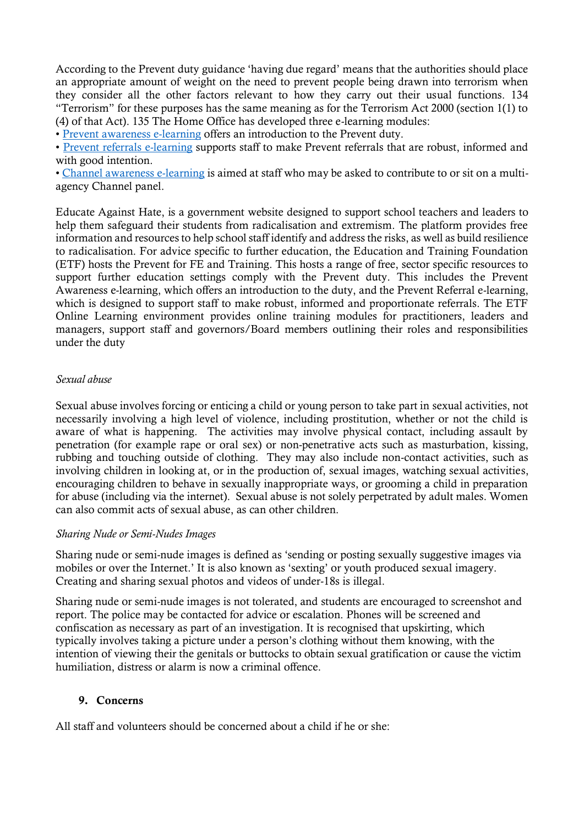According to the Prevent duty guidance 'having due regard' means that the authorities should place an appropriate amount of weight on the need to prevent people being drawn into terrorism when they consider all the other factors relevant to how they carry out their usual functions. 134 "Terrorism" for these purposes has the same meaning as for the Terrorism Act 2000 (section 1(1) to (4) of that Act). 135 The Home Office has developed three e-learning modules:

• [Prevent awareness e-learning](https://www.elearning.prevent.homeoffice.gov.uk/edu/screen1.html) offers an introduction to the Prevent duty.

• [Prevent referrals e-learning](https://www.elearning.prevent.homeoffice.gov.uk/prevent_referrals/01-welcome.html) supports staff to make Prevent referrals that are robust, informed and with good intention.

• [Channel awareness e-learning](https://www.elearning.prevent.homeoffice.gov.uk/channel_awareness/01-welcome.html) is aimed at staff who may be asked to contribute to or sit on a multiagency Channel panel.

Educate Against Hate, is a government website designed to support school teachers and leaders to help them safeguard their students from radicalisation and extremism. The platform provides free information and resources to help school staff identify and address the risks, as well as build resilience to radicalisation. For advice specific to further education, the Education and Training Foundation (ETF) hosts the Prevent for FE and Training. This hosts a range of free, sector specific resources to support further education settings comply with the Prevent duty. This includes the Prevent Awareness e-learning, which offers an introduction to the duty, and the Prevent Referral e-learning, which is designed to support staff to make robust, informed and proportionate referrals. The ETF Online Learning environment provides online training modules for practitioners, leaders and managers, support staff and governors/Board members outlining their roles and responsibilities under the duty

## *Sexual abuse*

Sexual abuse involves forcing or enticing a child or young person to take part in sexual activities, not necessarily involving a high level of violence, including prostitution, whether or not the child is aware of what is happening. The activities may involve physical contact, including assault by penetration (for example rape or oral sex) or non-penetrative acts such as masturbation, kissing, rubbing and touching outside of clothing. They may also include non-contact activities, such as involving children in looking at, or in the production of, sexual images, watching sexual activities, encouraging children to behave in sexually inappropriate ways, or grooming a child in preparation for abuse (including via the internet). Sexual abuse is not solely perpetrated by adult males. Women can also commit acts of sexual abuse, as can other children.

## *Sharing Nude or Semi-Nudes Images*

Sharing nude or semi-nude images is defined as 'sending or posting sexually suggestive images via mobiles or over the Internet.' It is also known as 'sexting' or youth produced sexual imagery. Creating and sharing sexual photos and videos of under-18s is illegal.

Sharing nude or semi-nude images is not tolerated, and students are encouraged to screenshot and report. The police may be contacted for advice or escalation. Phones will be screened and confiscation as necessary as part of an investigation. It is recognised that upskirting, which typically involves taking a picture under a person's clothing without them knowing, with the intention of viewing their the genitals or buttocks to obtain sexual gratification or cause the victim humiliation, distress or alarm is now a criminal offence.

## 9. Concerns

All staff and volunteers should be concerned about a child if he or she: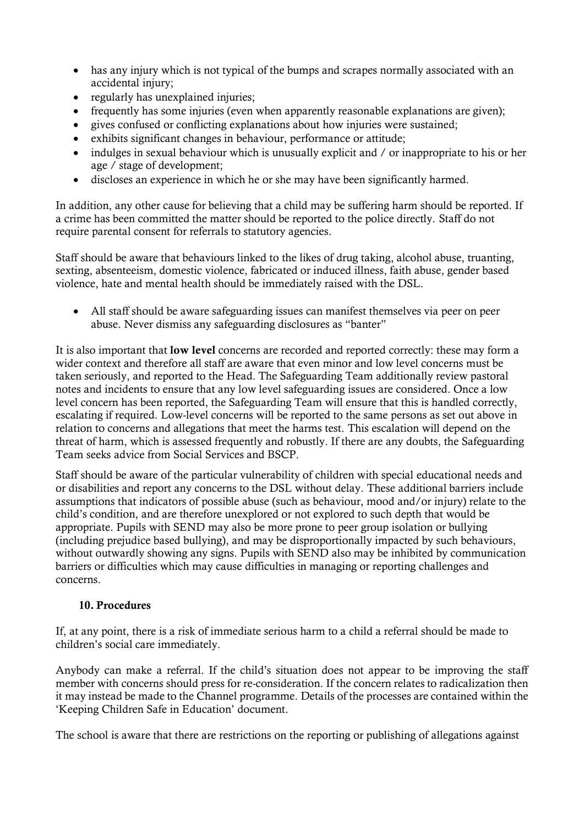- has any injury which is not typical of the bumps and scrapes normally associated with an accidental injury;
- regularly has unexplained injuries;
- frequently has some injuries (even when apparently reasonable explanations are given);
- gives confused or conflicting explanations about how injuries were sustained;
- exhibits significant changes in behaviour, performance or attitude;
- indulges in sexual behaviour which is unusually explicit and / or inappropriate to his or her age / stage of development;
- discloses an experience in which he or she may have been significantly harmed.

In addition, any other cause for believing that a child may be suffering harm should be reported. If a crime has been committed the matter should be reported to the police directly. Staff do not require parental consent for referrals to statutory agencies.

Staff should be aware that behaviours linked to the likes of drug taking, alcohol abuse, truanting, sexting, absenteeism, domestic violence, fabricated or induced illness, faith abuse, gender based violence, hate and mental health should be immediately raised with the DSL.

• All staff should be aware safeguarding issues can manifest themselves via peer on peer abuse. Never dismiss any safeguarding disclosures as "banter"

It is also important that low level concerns are recorded and reported correctly: these may form a wider context and therefore all staff are aware that even minor and low level concerns must be taken seriously, and reported to the Head. The Safeguarding Team additionally review pastoral notes and incidents to ensure that any low level safeguarding issues are considered. Once a low level concern has been reported, the Safeguarding Team will ensure that this is handled correctly, escalating if required. Low-level concerns will be reported to the same persons as set out above in relation to concerns and allegations that meet the harms test. This escalation will depend on the threat of harm, which is assessed frequently and robustly. If there are any doubts, the Safeguarding Team seeks advice from Social Services and BSCP.

Staff should be aware of the particular vulnerability of children with special educational needs and or disabilities and report any concerns to the DSL without delay. These additional barriers include assumptions that indicators of possible abuse (such as behaviour, mood and/or injury) relate to the child's condition, and are therefore unexplored or not explored to such depth that would be appropriate. Pupils with SEND may also be more prone to peer group isolation or bullying (including prejudice based bullying), and may be disproportionally impacted by such behaviours, without outwardly showing any signs. Pupils with SEND also may be inhibited by communication barriers or difficulties which may cause difficulties in managing or reporting challenges and concerns.

# 10. Procedures

If, at any point, there is a risk of immediate serious harm to a child a referral should be made to children's social care immediately.

Anybody can make a referral. If the child's situation does not appear to be improving the staff member with concerns should press for re-consideration. If the concern relates to radicalization then it may instead be made to the Channel programme. Details of the processes are contained within the 'Keeping Children Safe in Education' document.

The school is aware that there are restrictions on the reporting or publishing of allegations against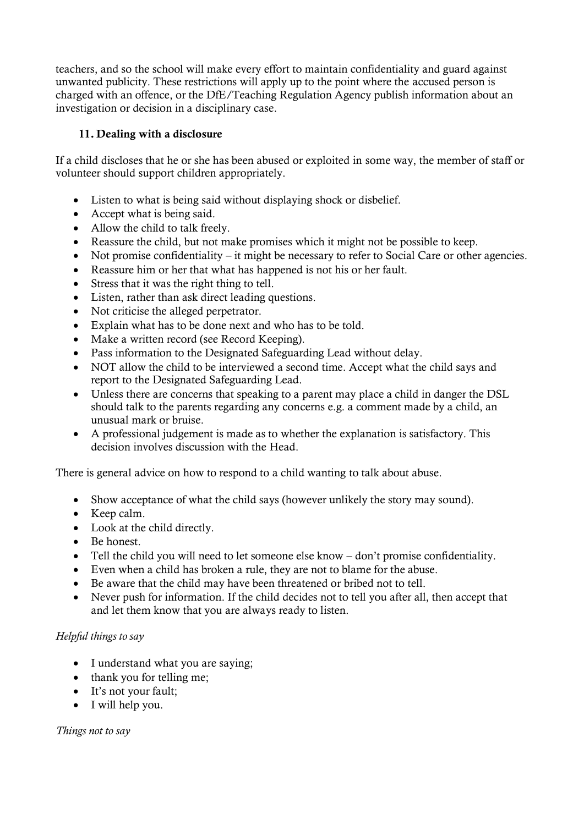teachers, and so the school will make every effort to maintain confidentiality and guard against unwanted publicity. These restrictions will apply up to the point where the accused person is charged with an offence, or the DfE/Teaching Regulation Agency publish information about an investigation or decision in a disciplinary case.

# 11. Dealing with a disclosure

If a child discloses that he or she has been abused or exploited in some way, the member of staff or volunteer should support children appropriately.

- Listen to what is being said without displaying shock or disbelief.
- Accept what is being said.
- Allow the child to talk freely.
- Reassure the child, but not make promises which it might not be possible to keep.
- Not promise confidentiality it might be necessary to refer to Social Care or other agencies.
- Reassure him or her that what has happened is not his or her fault.
- Stress that it was the right thing to tell.
- Listen, rather than ask direct leading questions.
- Not criticise the alleged perpetrator.
- Explain what has to be done next and who has to be told.
- Make a written record (see Record Keeping).
- Pass information to the Designated Safeguarding Lead without delay.
- NOT allow the child to be interviewed a second time. Accept what the child says and report to the Designated Safeguarding Lead.
- Unless there are concerns that speaking to a parent may place a child in danger the DSL should talk to the parents regarding any concerns e.g. a comment made by a child, an unusual mark or bruise.
- A professional judgement is made as to whether the explanation is satisfactory. This decision involves discussion with the Head.

There is general advice on how to respond to a child wanting to talk about abuse.

- Show acceptance of what the child says (however unlikely the story may sound).
- Keep calm.
- Look at the child directly.
- Be honest.
- Tell the child you will need to let someone else know don't promise confidentiality.
- Even when a child has broken a rule, they are not to blame for the abuse.
- Be aware that the child may have been threatened or bribed not to tell.
- Never push for information. If the child decides not to tell you after all, then accept that and let them know that you are always ready to listen.

# *Helpful things to say*

- I understand what you are saying;
- thank you for telling me;
- It's not your fault;
- I will help you.

*Things not to say*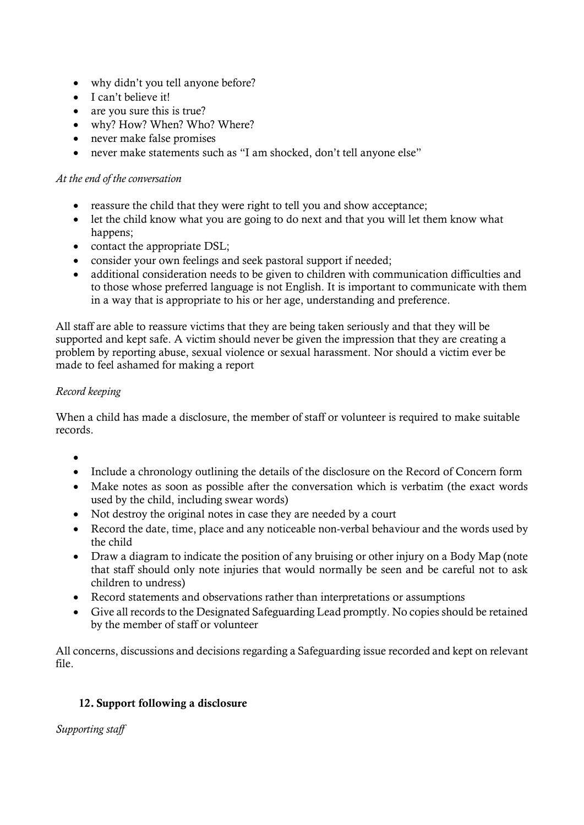- why didn't you tell anyone before?
- I can't believe it!
- are you sure this is true?
- why? How? When? Who? Where?
- never make false promises
- never make statements such as "I am shocked, don't tell anyone else"

## *At the end of the conversation*

- reassure the child that they were right to tell you and show acceptance;
- let the child know what you are going to do next and that you will let them know what happens;
- contact the appropriate DSL;
- consider your own feelings and seek pastoral support if needed;
- additional consideration needs to be given to children with communication difficulties and to those whose preferred language is not English. It is important to communicate with them in a way that is appropriate to his or her age, understanding and preference.

All staff are able to reassure victims that they are being taken seriously and that they will be supported and kept safe. A victim should never be given the impression that they are creating a problem by reporting abuse, sexual violence or sexual harassment. Nor should a victim ever be made to feel ashamed for making a report

# *Record keeping*

When a child has made a disclosure, the member of staff or volunteer is required to make suitable records.

- •
- Include a chronology outlining the details of the disclosure on the Record of Concern form
- Make notes as soon as possible after the conversation which is verbatim (the exact words used by the child, including swear words)
- Not destroy the original notes in case they are needed by a court
- Record the date, time, place and any noticeable non-verbal behaviour and the words used by the child
- Draw a diagram to indicate the position of any bruising or other injury on a Body Map (note that staff should only note injuries that would normally be seen and be careful not to ask children to undress)
- Record statements and observations rather than interpretations or assumptions
- Give all records to the Designated Safeguarding Lead promptly. No copies should be retained by the member of staff or volunteer

All concerns, discussions and decisions regarding a Safeguarding issue recorded and kept on relevant file.

# 12. Support following a disclosure

*Supporting staff*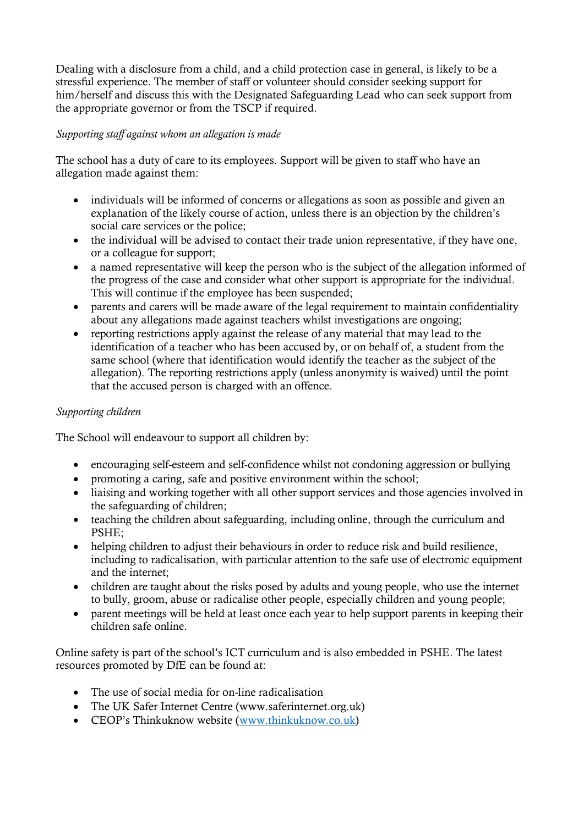Dealing with a disclosure from a child, and a child protection case in general, is likely to be a stressful experience. The member of staff or volunteer should consider seeking support for him/herself and discuss this with the Designated Safeguarding Lead who can seek support from the appropriate governor or from the TSCP if required.

# *Supporting staff against whom an allegation is made*

The school has a duty of care to its employees. Support will be given to staff who have an allegation made against them:

- individuals will be informed of concerns or allegations as soon as possible and given an explanation of the likely course of action, unless there is an objection by the children's social care services or the police;
- the individual will be advised to contact their trade union representative, if they have one, or a colleague for support;
- a named representative will keep the person who is the subject of the allegation informed of the progress of the case and consider what other support is appropriate for the individual. This will continue if the employee has been suspended;
- parents and carers will be made aware of the legal requirement to maintain confidentiality about any allegations made against teachers whilst investigations are ongoing;
- reporting restrictions apply against the release of any material that may lead to the identification of a teacher who has been accused by, or on behalf of, a student from the same school (where that identification would identify the teacher as the subject of the allegation). The reporting restrictions apply (unless anonymity is waived) until the point that the accused person is charged with an offence.

# *Supporting children*

The School will endeavour to support all children by:

- encouraging self-esteem and self-confidence whilst not condoning aggression or bullying
- promoting a caring, safe and positive environment within the school;
- liaising and working together with all other support services and those agencies involved in the safeguarding of children;
- teaching the children about safeguarding, including online, through the curriculum and PSHE;
- helping children to adjust their behaviours in order to reduce risk and build resilience, including to radicalisation, with particular attention to the safe use of electronic equipment and the internet;
- children are taught about the risks posed by adults and young people, who use the internet to bully, groom, abuse or radicalise other people, especially children and young people;
- parent meetings will be held at least once each year to help support parents in keeping their children safe online.

Online safety is part of the school's ICT curriculum and is also embedded in PSHE. The latest resources promoted by DfE can be found at:

- The use of social media for on-line radicalisation
- The UK Safer Internet Centre (www.saferinternet.org.uk)
- CEOP's Thinkuknow website ([www.thinkuknow.co.uk\)](http://www.thinkuknow.co.uk/)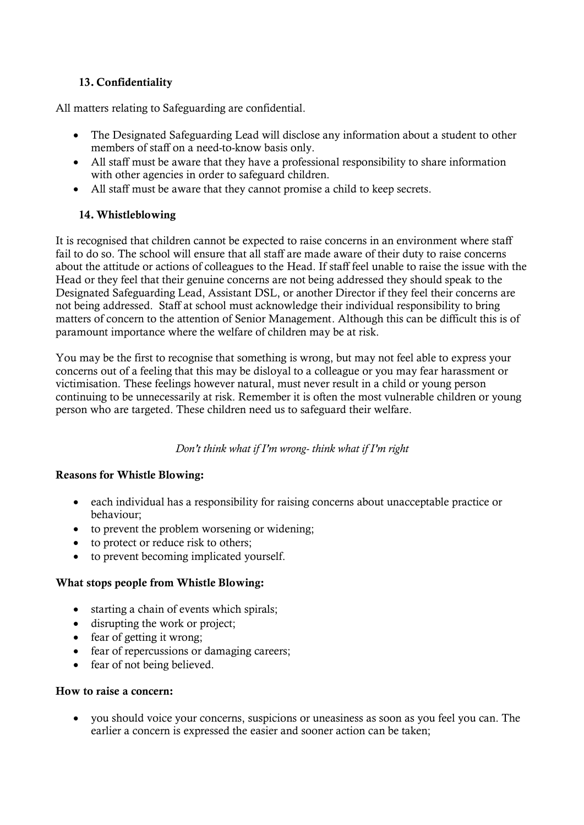# 13. Confidentiality

All matters relating to Safeguarding are confidential.

- The Designated Safeguarding Lead will disclose any information about a student to other members of staff on a need-to-know basis only.
- All staff must be aware that they have a professional responsibility to share information with other agencies in order to safeguard children.
- All staff must be aware that they cannot promise a child to keep secrets.

# 14. Whistleblowing

It is recognised that children cannot be expected to raise concerns in an environment where staff fail to do so. The school will ensure that all staff are made aware of their duty to raise concerns about the attitude or actions of colleagues to the Head. If staff feel unable to raise the issue with the Head or they feel that their genuine concerns are not being addressed they should speak to the Designated Safeguarding Lead, Assistant DSL, or another Director if they feel their concerns are not being addressed. Staff at school must acknowledge their individual responsibility to bring matters of concern to the attention of Senior Management. Although this can be difficult this is of paramount importance where the welfare of children may be at risk.

You may be the first to recognise that something is wrong, but may not feel able to express your concerns out of a feeling that this may be disloyal to a colleague or you may fear harassment or victimisation. These feelings however natural, must never result in a child or young person continuing to be unnecessarily at risk. Remember it is often the most vulnerable children or young person who are targeted. These children need us to safeguard their welfare.

*Don't think what if I'm wrong- think what if I'm right*

# Reasons for Whistle Blowing:

- each individual has a responsibility for raising concerns about unacceptable practice or behaviour;
- to prevent the problem worsening or widening;
- to protect or reduce risk to others;
- to prevent becoming implicated yourself.

# What stops people from Whistle Blowing:

- starting a chain of events which spirals:
- disrupting the work or project;
- fear of getting it wrong;
- fear of repercussions or damaging careers;
- fear of not being believed.

# How to raise a concern:

• you should voice your concerns, suspicions or uneasiness as soon as you feel you can. The earlier a concern is expressed the easier and sooner action can be taken;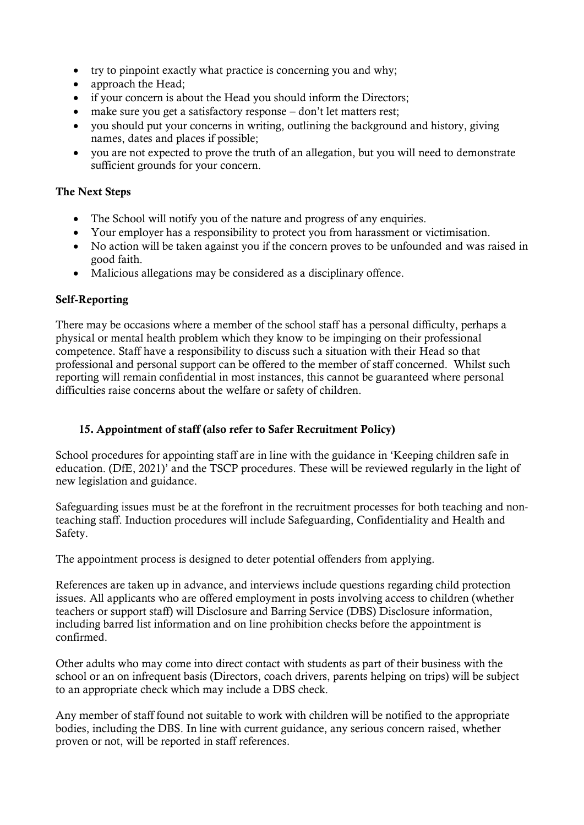- try to pinpoint exactly what practice is concerning you and why;
- approach the Head:
- if your concern is about the Head you should inform the Directors;
- make sure you get a satisfactory response don't let matters rest;
- vou should put your concerns in writing, outlining the background and history, giving names, dates and places if possible;
- you are not expected to prove the truth of an allegation, but you will need to demonstrate sufficient grounds for your concern.

# The Next Steps

- The School will notify you of the nature and progress of any enquiries.
- Your employer has a responsibility to protect you from harassment or victimisation.
- No action will be taken against you if the concern proves to be unfounded and was raised in good faith.
- Malicious allegations may be considered as a disciplinary offence.

## Self-Reporting

There may be occasions where a member of the school staff has a personal difficulty, perhaps a physical or mental health problem which they know to be impinging on their professional competence. Staff have a responsibility to discuss such a situation with their Head so that professional and personal support can be offered to the member of staff concerned. Whilst such reporting will remain confidential in most instances, this cannot be guaranteed where personal difficulties raise concerns about the welfare or safety of children.

# 15. Appointment of staff (also refer to Safer Recruitment Policy)

School procedures for appointing staff are in line with the guidance in 'Keeping children safe in education. (DfE, 2021)' and the TSCP procedures. These will be reviewed regularly in the light of new legislation and guidance.

Safeguarding issues must be at the forefront in the recruitment processes for both teaching and nonteaching staff. Induction procedures will include Safeguarding, Confidentiality and Health and Safety.

The appointment process is designed to deter potential offenders from applying.

References are taken up in advance, and interviews include questions regarding child protection issues. All applicants who are offered employment in posts involving access to children (whether teachers or support staff) will Disclosure and Barring Service (DBS) Disclosure information, including barred list information and on line prohibition checks before the appointment is confirmed.

Other adults who may come into direct contact with students as part of their business with the school or an on infrequent basis (Directors, coach drivers, parents helping on trips) will be subject to an appropriate check which may include a DBS check.

Any member of staff found not suitable to work with children will be notified to the appropriate bodies, including the DBS. In line with current guidance, any serious concern raised, whether proven or not, will be reported in staff references.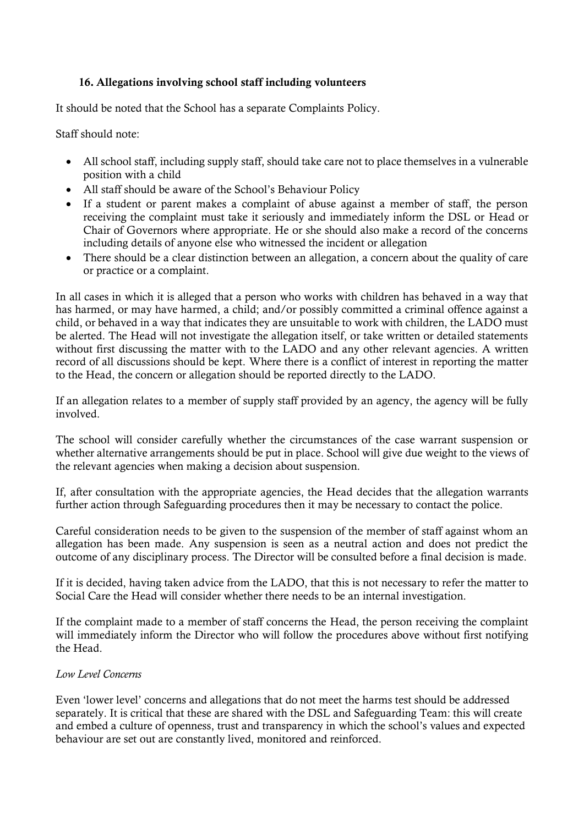# 16. Allegations involving school staff including volunteers

It should be noted that the School has a separate Complaints Policy.

Staff should note:

- All school staff, including supply staff, should take care not to place themselves in a vulnerable position with a child
- All staff should be aware of the School's Behaviour Policy
- If a student or parent makes a complaint of abuse against a member of staff, the person receiving the complaint must take it seriously and immediately inform the DSL or Head or Chair of Governors where appropriate. He or she should also make a record of the concerns including details of anyone else who witnessed the incident or allegation
- There should be a clear distinction between an allegation, a concern about the quality of care or practice or a complaint.

In all cases in which it is alleged that a person who works with children has behaved in a way that has harmed, or may have harmed, a child; and/or possibly committed a criminal offence against a child, or behaved in a way that indicates they are unsuitable to work with children, the LADO must be alerted. The Head will not investigate the allegation itself, or take written or detailed statements without first discussing the matter with to the LADO and any other relevant agencies. A written record of all discussions should be kept. Where there is a conflict of interest in reporting the matter to the Head, the concern or allegation should be reported directly to the LADO.

If an allegation relates to a member of supply staff provided by an agency, the agency will be fully involved

The school will consider carefully whether the circumstances of the case warrant suspension or whether alternative arrangements should be put in place. School will give due weight to the views of the relevant agencies when making a decision about suspension.

If, after consultation with the appropriate agencies, the Head decides that the allegation warrants further action through Safeguarding procedures then it may be necessary to contact the police.

Careful consideration needs to be given to the suspension of the member of staff against whom an allegation has been made. Any suspension is seen as a neutral action and does not predict the outcome of any disciplinary process. The Director will be consulted before a final decision is made.

If it is decided, having taken advice from the LADO, that this is not necessary to refer the matter to Social Care the Head will consider whether there needs to be an internal investigation.

If the complaint made to a member of staff concerns the Head, the person receiving the complaint will immediately inform the Director who will follow the procedures above without first notifying the Head.

# *Low Level Concerns*

Even 'lower level' concerns and allegations that do not meet the harms test should be addressed separately. It is critical that these are shared with the DSL and Safeguarding Team: this will create and embed a culture of openness, trust and transparency in which the school's values and expected behaviour are set out are constantly lived, monitored and reinforced.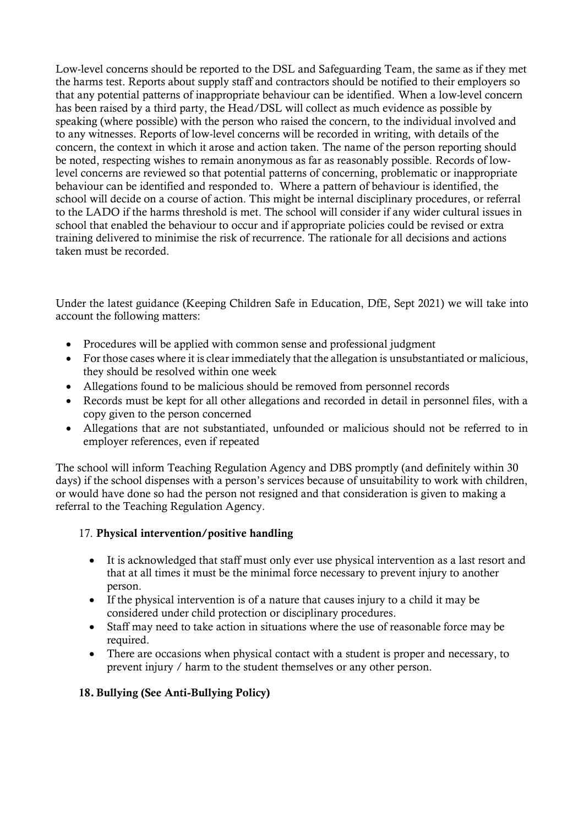Low-level concerns should be reported to the DSL and Safeguarding Team, the same as if they met the harms test. Reports about supply staff and contractors should be notified to their employers so that any potential patterns of inappropriate behaviour can be identified. When a low-level concern has been raised by a third party, the Head/DSL will collect as much evidence as possible by speaking (where possible) with the person who raised the concern, to the individual involved and to any witnesses. Reports of low-level concerns will be recorded in writing, with details of the concern, the context in which it arose and action taken. The name of the person reporting should be noted, respecting wishes to remain anonymous as far as reasonably possible. Records of lowlevel concerns are reviewed so that potential patterns of concerning, problematic or inappropriate behaviour can be identified and responded to. Where a pattern of behaviour is identified, the school will decide on a course of action. This might be internal disciplinary procedures, or referral to the LADO if the harms threshold is met. The school will consider if any wider cultural issues in school that enabled the behaviour to occur and if appropriate policies could be revised or extra training delivered to minimise the risk of recurrence. The rationale for all decisions and actions taken must be recorded.

Under the latest guidance (Keeping Children Safe in Education, DfE, Sept 2021) we will take into account the following matters:

- Procedures will be applied with common sense and professional judgment
- For those cases where it is clear immediately that the allegation is unsubstantiated or malicious, they should be resolved within one week
- Allegations found to be malicious should be removed from personnel records
- Records must be kept for all other allegations and recorded in detail in personnel files, with a copy given to the person concerned
- Allegations that are not substantiated, unfounded or malicious should not be referred to in employer references, even if repeated

The school will inform Teaching Regulation Agency and DBS promptly (and definitely within 30 days) if the school dispenses with a person's services because of unsuitability to work with children, or would have done so had the person not resigned and that consideration is given to making a referral to the Teaching Regulation Agency.

# 17. Physical intervention/positive handling

- It is acknowledged that staff must only ever use physical intervention as a last resort and that at all times it must be the minimal force necessary to prevent injury to another person.
- If the physical intervention is of a nature that causes injury to a child it may be considered under child protection or disciplinary procedures.
- Staff may need to take action in situations where the use of reasonable force may be required.
- There are occasions when physical contact with a student is proper and necessary, to prevent injury / harm to the student themselves or any other person.

# 18. Bullying (See Anti-Bullying Policy)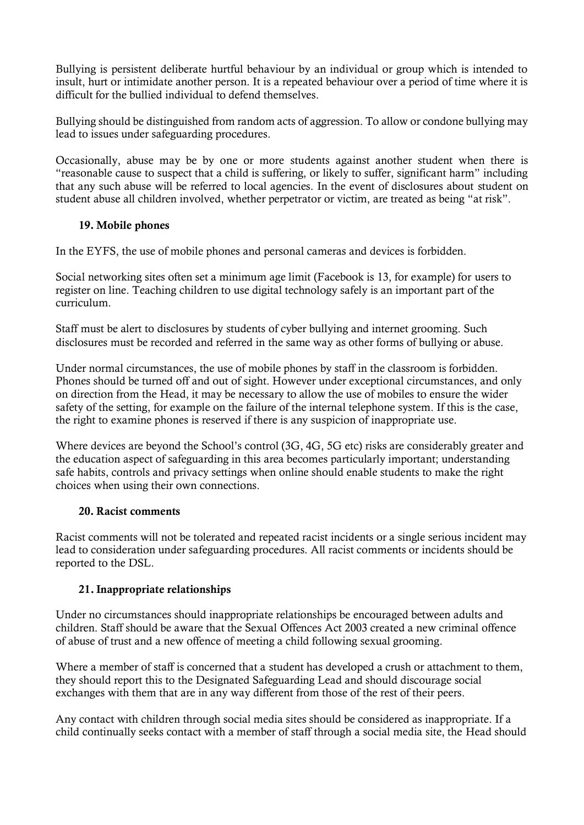Bullying is persistent deliberate hurtful behaviour by an individual or group which is intended to insult, hurt or intimidate another person. It is a repeated behaviour over a period of time where it is difficult for the bullied individual to defend themselves.

Bullying should be distinguished from random acts of aggression. To allow or condone bullying may lead to issues under safeguarding procedures.

Occasionally, abuse may be by one or more students against another student when there is "reasonable cause to suspect that a child is suffering, or likely to suffer, significant harm" including that any such abuse will be referred to local agencies. In the event of disclosures about student on student abuse all children involved, whether perpetrator or victim, are treated as being "at risk".

# 19. Mobile phones

In the EYFS, the use of mobile phones and personal cameras and devices is forbidden.

Social networking sites often set a minimum age limit (Facebook is 13, for example) for users to register on line. Teaching children to use digital technology safely is an important part of the curriculum.

Staff must be alert to disclosures by students of cyber bullying and internet grooming. Such disclosures must be recorded and referred in the same way as other forms of bullying or abuse.

Under normal circumstances, the use of mobile phones by staff in the classroom is forbidden. Phones should be turned off and out of sight. However under exceptional circumstances, and only on direction from the Head, it may be necessary to allow the use of mobiles to ensure the wider safety of the setting, for example on the failure of the internal telephone system. If this is the case, the right to examine phones is reserved if there is any suspicion of inappropriate use.

Where devices are beyond the School's control (3G, 4G, 5G etc) risks are considerably greater and the education aspect of safeguarding in this area becomes particularly important; understanding safe habits, controls and privacy settings when online should enable students to make the right choices when using their own connections.

# 20. Racist comments

Racist comments will not be tolerated and repeated racist incidents or a single serious incident may lead to consideration under safeguarding procedures. All racist comments or incidents should be reported to the DSL.

# 21.Inappropriate relationships

Under no circumstances should inappropriate relationships be encouraged between adults and children. Staff should be aware that the Sexual Offences Act 2003 created a new criminal offence of abuse of trust and a new offence of meeting a child following sexual grooming.

Where a member of staff is concerned that a student has developed a crush or attachment to them, they should report this to the Designated Safeguarding Lead and should discourage social exchanges with them that are in any way different from those of the rest of their peers.

Any contact with children through social media sites should be considered as inappropriate. If a child continually seeks contact with a member of staff through a social media site, the Head should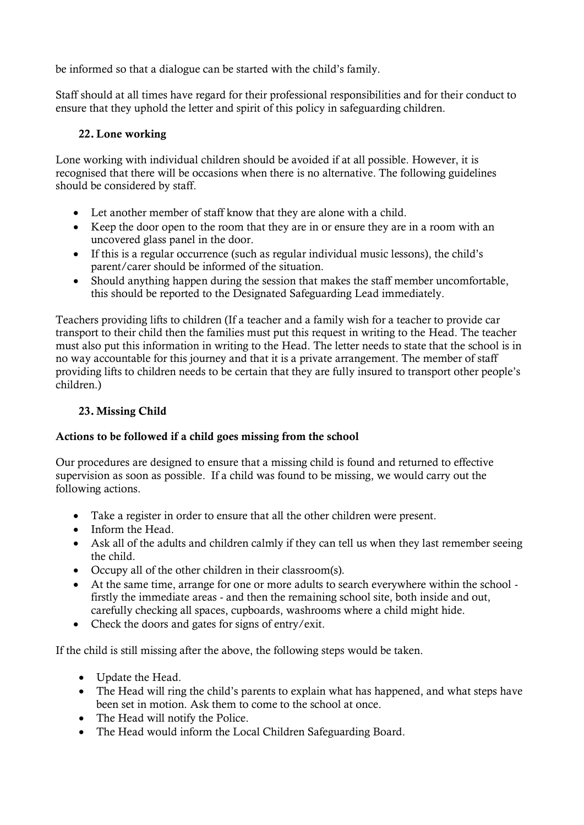be informed so that a dialogue can be started with the child's family.

Staff should at all times have regard for their professional responsibilities and for their conduct to ensure that they uphold the letter and spirit of this policy in safeguarding children.

# 22. Lone working

Lone working with individual children should be avoided if at all possible. However, it is recognised that there will be occasions when there is no alternative. The following guidelines should be considered by staff.

- Let another member of staff know that they are alone with a child.
- Keep the door open to the room that they are in or ensure they are in a room with an uncovered glass panel in the door.
- If this is a regular occurrence (such as regular individual music lessons), the child's parent/carer should be informed of the situation.
- Should anything happen during the session that makes the staff member uncomfortable, this should be reported to the Designated Safeguarding Lead immediately.

Teachers providing lifts to children (If a teacher and a family wish for a teacher to provide car transport to their child then the families must put this request in writing to the Head. The teacher must also put this information in writing to the Head. The letter needs to state that the school is in no way accountable for this journey and that it is a private arrangement. The member of staff providing lifts to children needs to be certain that they are fully insured to transport other people's children.)

# 23. Missing Child

# Actions to be followed if a child goes missing from the school

Our procedures are designed to ensure that a missing child is found and returned to effective supervision as soon as possible. If a child was found to be missing, we would carry out the following actions.

- Take a register in order to ensure that all the other children were present.
- Inform the Head.
- Ask all of the adults and children calmly if they can tell us when they last remember seeing the child.
- Occupy all of the other children in their classroom(s).
- At the same time, arrange for one or more adults to search everywhere within the school firstly the immediate areas - and then the remaining school site, both inside and out, carefully checking all spaces, cupboards, washrooms where a child might hide.
- Check the doors and gates for signs of entry/exit.

If the child is still missing after the above, the following steps would be taken.

- Update the Head.
- The Head will ring the child's parents to explain what has happened, and what steps have been set in motion. Ask them to come to the school at once.
- The Head will notify the Police.
- The Head would inform the Local Children Safeguarding Board.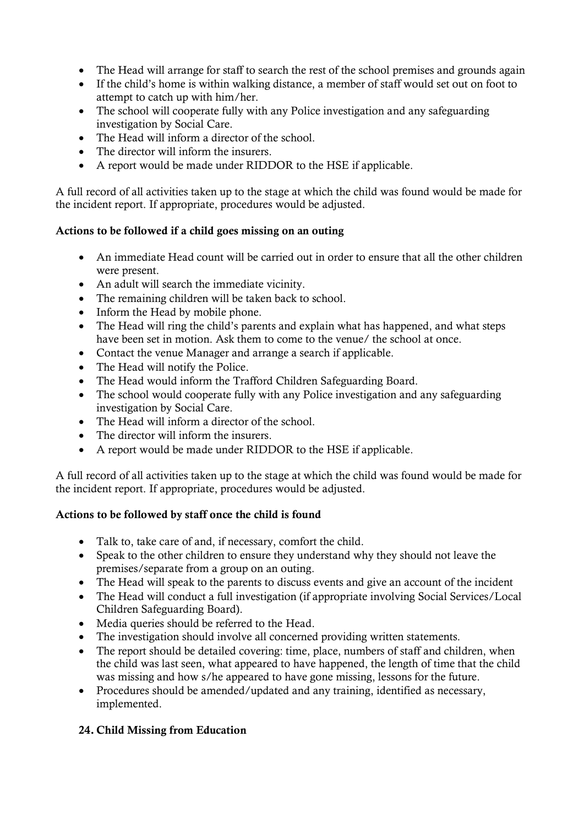- The Head will arrange for staff to search the rest of the school premises and grounds again
- If the child's home is within walking distance, a member of staff would set out on foot to attempt to catch up with him/her.
- The school will cooperate fully with any Police investigation and any safeguarding investigation by Social Care.
- The Head will inform a director of the school.
- The director will inform the insurers.
- A report would be made under RIDDOR to the HSE if applicable.

A full record of all activities taken up to the stage at which the child was found would be made for the incident report. If appropriate, procedures would be adjusted.

# Actions to be followed if a child goes missing on an outing

- An immediate Head count will be carried out in order to ensure that all the other children were present.
- An adult will search the immediate vicinity.
- The remaining children will be taken back to school.
- Inform the Head by mobile phone.
- The Head will ring the child's parents and explain what has happened, and what steps have been set in motion. Ask them to come to the venue/ the school at once.
- Contact the venue Manager and arrange a search if applicable.
- The Head will notify the Police.
- The Head would inform the Trafford Children Safeguarding Board.
- The school would cooperate fully with any Police investigation and any safeguarding investigation by Social Care.
- The Head will inform a director of the school.
- The director will inform the insurers.
- A report would be made under RIDDOR to the HSE if applicable.

A full record of all activities taken up to the stage at which the child was found would be made for the incident report. If appropriate, procedures would be adjusted.

# Actions to be followed by staff once the child is found

- Talk to, take care of and, if necessary, comfort the child.
- Speak to the other children to ensure they understand why they should not leave the premises/separate from a group on an outing.
- The Head will speak to the parents to discuss events and give an account of the incident
- The Head will conduct a full investigation (if appropriate involving Social Services/Local Children Safeguarding Board).
- Media queries should be referred to the Head.
- The investigation should involve all concerned providing written statements.
- The report should be detailed covering: time, place, numbers of staff and children, when the child was last seen, what appeared to have happened, the length of time that the child was missing and how s/he appeared to have gone missing, lessons for the future.
- Procedures should be amended/updated and any training, identified as necessary, implemented.

# 24. Child Missing from Education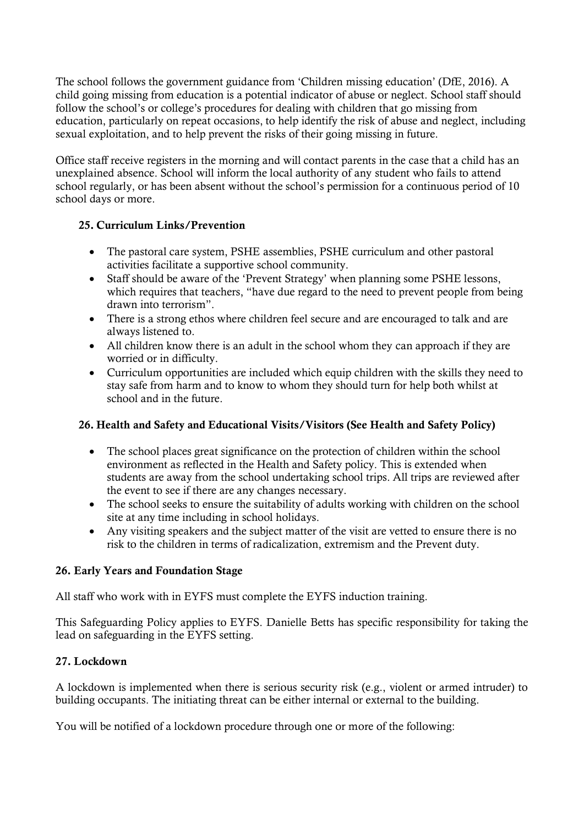The school follows the government guidance from 'Children missing education' (DfE, 2016). A child going missing from education is a potential indicator of abuse or neglect. School staff should follow the school's or college's procedures for dealing with children that go missing from education, particularly on repeat occasions, to help identify the risk of abuse and neglect, including sexual exploitation, and to help prevent the risks of their going missing in future.

Office staff receive registers in the morning and will contact parents in the case that a child has an unexplained absence. School will inform the local authority of any student who fails to attend school regularly, or has been absent without the school's permission for a continuous period of 10 school days or more.

# 25. Curriculum Links/Prevention

- The pastoral care system, PSHE assemblies, PSHE curriculum and other pastoral activities facilitate a supportive school community.
- Staff should be aware of the 'Prevent Strategy' when planning some PSHE lessons, which requires that teachers, "have due regard to the need to prevent people from being drawn into terrorism".
- There is a strong ethos where children feel secure and are encouraged to talk and are always listened to.
- All children know there is an adult in the school whom they can approach if they are worried or in difficulty.
- Curriculum opportunities are included which equip children with the skills they need to stay safe from harm and to know to whom they should turn for help both whilst at school and in the future.

# 26. Health and Safety and Educational Visits/Visitors (See Health and Safety Policy)

- The school places great significance on the protection of children within the school environment as reflected in the Health and Safety policy. This is extended when students are away from the school undertaking school trips. All trips are reviewed after the event to see if there are any changes necessary.
- The school seeks to ensure the suitability of adults working with children on the school site at any time including in school holidays.
- Any visiting speakers and the subject matter of the visit are vetted to ensure there is no risk to the children in terms of radicalization, extremism and the Prevent duty.

# 26. Early Years and Foundation Stage

All staff who work with in EYFS must complete the EYFS induction training.

This Safeguarding Policy applies to EYFS. Danielle Betts has specific responsibility for taking the lead on safeguarding in the EYFS setting.

# 27. Lockdown

A lockdown is implemented when there is serious security risk (e.g., violent or armed intruder) to building occupants. The initiating threat can be either internal or external to the building.

You will be notified of a lockdown procedure through one or more of the following: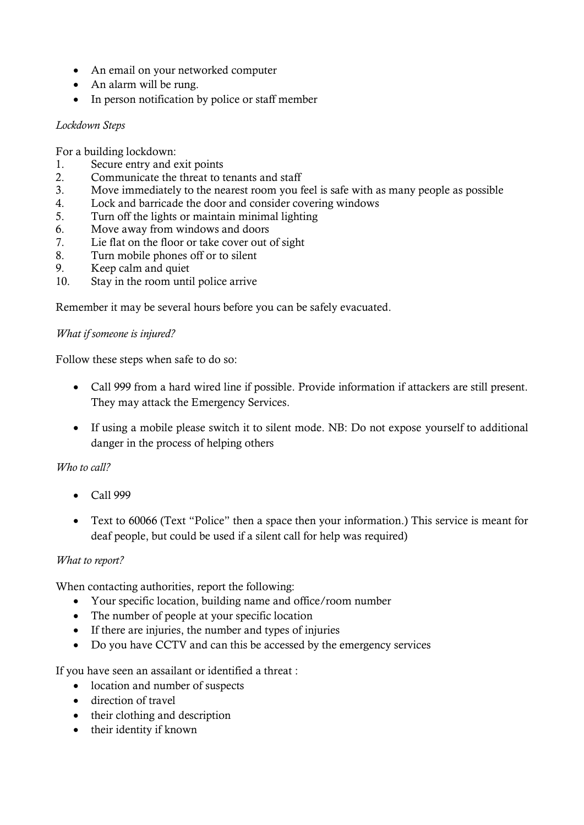- An email on your networked computer
- An alarm will be rung.
- In person notification by police or staff member

## *Lockdown Steps*

For a building lockdown:

- 1. Secure entry and exit points
- 2. Communicate the threat to tenants and staff
- 3. Move immediately to the nearest room you feel is safe with as many people as possible
- 4. Lock and barricade the door and consider covering windows
- 5. Turn off the lights or maintain minimal lighting
- 6. Move away from windows and doors
- 7. Lie flat on the floor or take cover out of sight
- 8. Turn mobile phones off or to silent
- 9. Keep calm and quiet
- 10. Stay in the room until police arrive

Remember it may be several hours before you can be safely evacuated.

# *What if someone is injured?*

Follow these steps when safe to do so:

- Call 999 from a hard wired line if possible. Provide information if attackers are still present. They may attack the Emergency Services.
- If using a mobile please switch it to silent mode. NB: Do not expose yourself to additional danger in the process of helping others

# *Who to call?*

- Call 999
- Text to 60066 (Text "Police" then a space then your information.) This service is meant for deaf people, but could be used if a silent call for help was required)

# *What to report?*

When contacting authorities, report the following:

- Your specific location, building name and office/room number
- The number of people at your specific location
- If there are injuries, the number and types of injuries
- Do you have CCTV and can this be accessed by the emergency services

If you have seen an assailant or identified a threat :

- location and number of suspects
- direction of travel
- their clothing and description
- their identity if known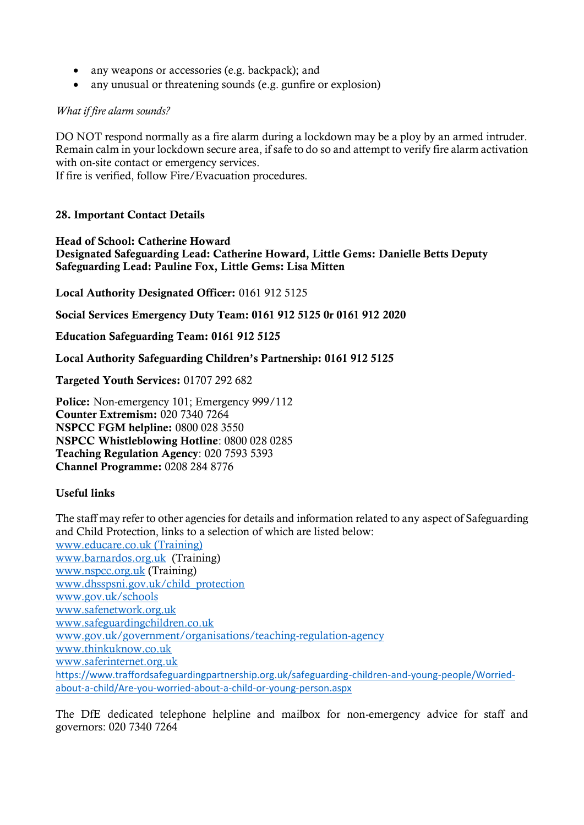- any weapons or accessories (e.g. backpack); and
- any unusual or threatening sounds (e.g. gunfire or explosion)

## *What if fire alarm sounds?*

DO NOT respond normally as a fire alarm during a lockdown may be a ploy by an armed intruder. Remain calm in your lockdown secure area, if safe to do so and attempt to verify fire alarm activation with on-site contact or emergency services.

If fire is verified, follow Fire/Evacuation procedures.

## 28. Important Contact Details

Head of School: Catherine Howard Designated Safeguarding Lead: Catherine Howard, Little Gems: Danielle Betts Deputy Safeguarding Lead: Pauline Fox, Little Gems: Lisa Mitten

Local Authority Designated Officer: 0161 912 5125

Social Services Emergency Duty Team: 0161 912 5125 0r 0161 912 2020

Education Safeguarding Team: 0161 912 5125

Local Authority Safeguarding Children's Partnership: 0161 912 5125

Targeted Youth Services: 01707 292 682

Police: Non-emergency 101; Emergency 999/112 Counter Extremism: 020 7340 7264 NSPCC FGM helpline: 0800 028 3550 NSPCC Whistleblowing Hotline: 0800 028 0285 Teaching Regulation Agency: 020 7593 5393 Channel Programme: 0208 284 8776

## Useful links

The staff may refer to other agencies for details and information related to any aspect of Safeguarding and Child Protection, links to a selection of which are listed below: www.educare.co.uk (Training) [www.barnardos.org.uk](http://www.barnardos.org.uk/) (Training) [www.nspcc.org.uk](http://www.nspcc.org.uk/) (Training) [www.dhsspsni.gov.uk/child\\_protection](http://www.dhsspsni.gov.uk/child_protection) [www.gov.uk/schools](http://www.gov.uk/schools) [www.safenetwork.org.uk](http://www.safenetwork.org.uk/) [www.safeguardingchildren.co.uk](http://www.safeguardingchildren.co.uk/) [www.gov.uk/government/organisations/teaching-regulation-agency](http://www.gov.uk/government/organisations/teaching-regulation-agency) [www.thinkuknow.co.uk](http://www.thinkuknow.co.uk/) [www.saferinternet.org.uk](http://www.saferinternet.org.uk/) [https://www.traffordsafeguardingpartnership.org.uk/safeguarding-children-and-young-people/Worried](https://www.traffordsafeguardingpartnership.org.uk/safeguarding-children-and-young-people/Worried-about-a-child/Are-you-worried-about-a-child-or-young-person.aspx)[about-a-child/Are-you-worried-about-a-child-or-young-person.aspx](https://www.traffordsafeguardingpartnership.org.uk/safeguarding-children-and-young-people/Worried-about-a-child/Are-you-worried-about-a-child-or-young-person.aspx)

The DfE dedicated telephone helpline and mailbox for non-emergency advice for staff and governors: 020 7340 7264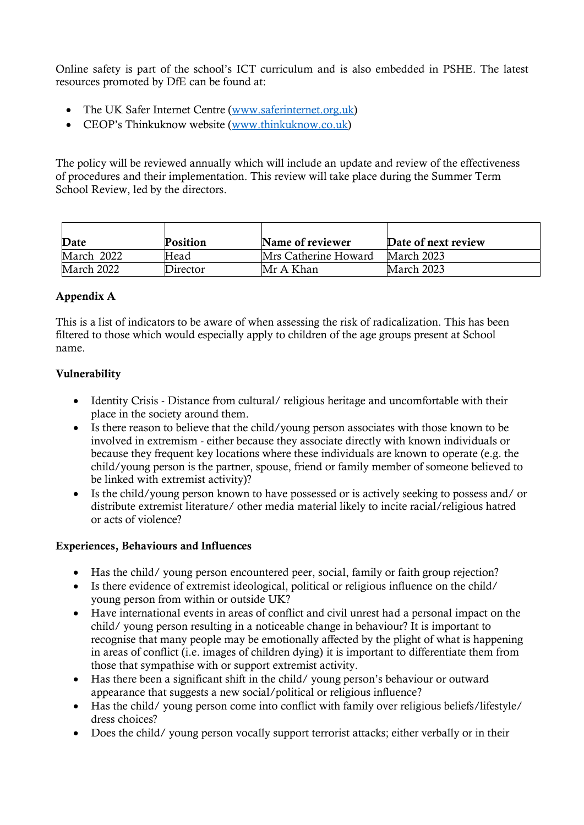Online safety is part of the school's ICT curriculum and is also embedded in PSHE. The latest resources promoted by DfE can be found at:

- The UK Safer Internet Centre (www.saferinternet.org.uk)
- CEOP's Thinkuknow website (www.thinkuknow.co.uk)

The policy will be reviewed annually which will include an update and review of the effectiveness of procedures and their implementation. This review will take place during the Summer Term School Review, led by the directors.

| Date       | <b>Position</b> | Name of reviewer     | Date of next review |
|------------|-----------------|----------------------|---------------------|
| March 2022 | Head            | Mrs Catherine Howard | March 2023          |
| March 2022 | Director        | Mr A Khan            | March 2023          |

# Appendix A

This is a list of indicators to be aware of when assessing the risk of radicalization. This has been filtered to those which would especially apply to children of the age groups present at School name.

# Vulnerability

- Identity Crisis Distance from cultural/ religious heritage and uncomfortable with their place in the society around them.
- Is there reason to believe that the child/young person associates with those known to be involved in extremism - either because they associate directly with known individuals or because they frequent key locations where these individuals are known to operate (e.g. the child/young person is the partner, spouse, friend or family member of someone believed to be linked with extremist activity)?
- Is the child/young person known to have possessed or is actively seeking to possess and/ or distribute extremist literature/ other media material likely to incite racial/religious hatred or acts of violence?

# Experiences, Behaviours and Influences

- Has the child/ young person encountered peer, social, family or faith group rejection?
- Is there evidence of extremist ideological, political or religious influence on the child/ young person from within or outside UK?
- Have international events in areas of conflict and civil unrest had a personal impact on the child/ young person resulting in a noticeable change in behaviour? It is important to recognise that many people may be emotionally affected by the plight of what is happening in areas of conflict (i.e. images of children dying) it is important to differentiate them from those that sympathise with or support extremist activity.
- Has there been a significant shift in the child/ young person's behaviour or outward appearance that suggests a new social/political or religious influence?
- Has the child/ young person come into conflict with family over religious beliefs/lifestyle/ dress choices?
- Does the child/ young person vocally support terrorist attacks; either verbally or in their